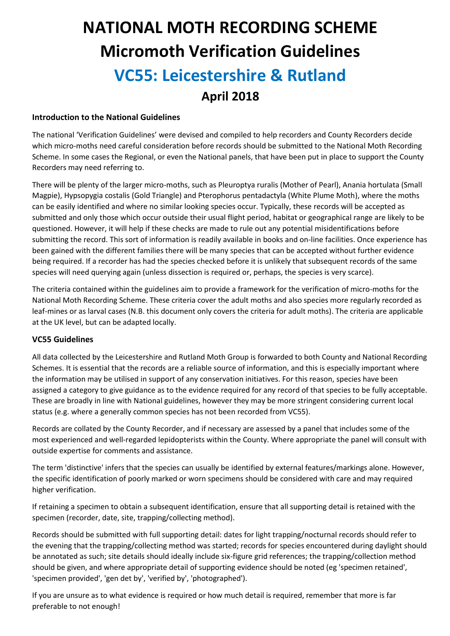# **NATIONAL MOTH RECORDING SCHEME Micromoth Verification Guidelines VC55: Leicestershire & Rutland April 2018**

### **Introduction to the National Guidelines**

The national 'Verification Guidelines' were devised and compiled to help recorders and County Recorders decide which micro-moths need careful consideration before records should be submitted to the National Moth Recording Scheme. In some cases the Regional, or even the National panels, that have been put in place to support the County Recorders may need referring to.

There will be plenty of the larger micro-moths, such as Pleuroptya ruralis (Mother of Pearl), Anania hortulata (Small Magpie), Hypsopygia costalis (Gold Triangle) and Pterophorus pentadactyla (White Plume Moth), where the moths can be easily identified and where no similar looking species occur. Typically, these records will be accepted as submitted and only those which occur outside their usual flight period, habitat or geographical range are likely to be questioned. However, it will help if these checks are made to rule out any potential misidentifications before submitting the record. This sort of information is readily available in books and on-line facilities. Once experience has been gained with the different families there will be many species that can be accepted without further evidence being required. If a recorder has had the species checked before it is unlikely that subsequent records of the same species will need querying again (unless dissection is required or, perhaps, the species is very scarce).

The criteria contained within the guidelines aim to provide a framework for the verification of micro-moths for the National Moth Recording Scheme. These criteria cover the adult moths and also species more regularly recorded as leaf-mines or as larval cases (N.B. this document only covers the criteria for adult moths). The criteria are applicable at the UK level, but can be adapted locally.

## **VC55 Guidelines**

All data collected by the Leicestershire and Rutland Moth Group is forwarded to both County and National Recording Schemes. It is essential that the records are a reliable source of information, and this is especially important where the information may be utilised in support of any conservation initiatives. For this reason, species have been assigned a category to give guidance as to the evidence required for any record of that species to be fully acceptable. These are broadly in line with National guidelines, however they may be more stringent considering current local status (e.g. where a generally common species has not been recorded from VC55).

Records are collated by the County Recorder, and if necessary are assessed by a panel that includes some of the most experienced and well-regarded lepidopterists within the County. Where appropriate the panel will consult with outside expertise for comments and assistance.

The term 'distinctive' infers that the species can usually be identified by external features/markings alone. However, the specific identification of poorly marked or worn specimens should be considered with care and may required higher verification.

If retaining a specimen to obtain a subsequent identification, ensure that all supporting detail is retained with the specimen (recorder, date, site, trapping/collecting method).

Records should be submitted with full supporting detail: dates for light trapping/nocturnal records should refer to the evening that the trapping/collecting method was started; records for species encountered during daylight should be annotated as such; site details should ideally include six-figure grid references; the trapping/collection method should be given, and where appropriate detail of supporting evidence should be noted (eg 'specimen retained', 'specimen provided', 'gen det by', 'verified by', 'photographed').

If you are unsure as to what evidence is required or how much detail is required, remember that more is far preferable to not enough!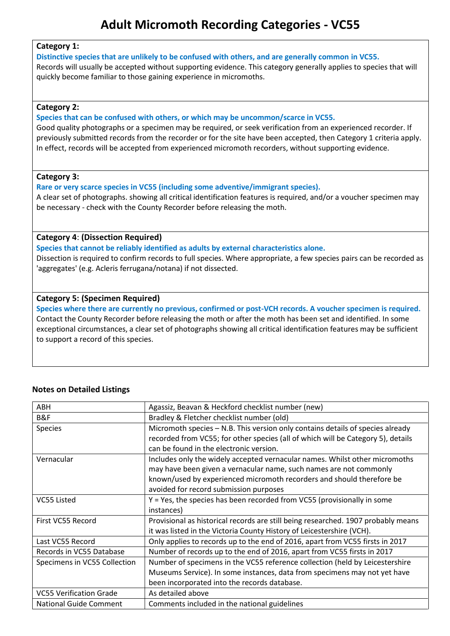# **Adult Micromoth Recording Categories - VC55**

#### **Category 1:**

#### **Distinctive species that are unlikely to be confused with others, and are generally common in VC55.**

Records will usually be accepted without supporting evidence. This category generally applies to species that will quickly become familiar to those gaining experience in micromoths.

#### **Category 2:**

#### **Species that can be confused with others, or which may be uncommon/scarce in VC55.**

Good quality photographs or a specimen may be required, or seek verification from an experienced recorder. If previously submitted records from the recorder or for the site have been accepted, then Category 1 criteria apply. In effect, records will be accepted from experienced micromoth recorders, without supporting evidence.

#### **Category 3:**

**Rare or very scarce species in VC55 (including some adventive/immigrant species).**

A clear set of photographs. showing all critical identification features is required, and/or a voucher specimen may be necessary - check with the County Recorder before releasing the moth.

#### **Category 4**: **(Dissection Required)**

**Species that cannot be reliably identified as adults by external characteristics alone.** Dissection is required to confirm records to full species. Where appropriate, a few species pairs can be recorded as 'aggregates' (e.g. Acleris ferrugana/notana) if not dissected.

#### **Category 5: (Specimen Required)**

**Species where there are currently no previous, confirmed or post-VCH records. A voucher specimen is required.** Contact the County Recorder before releasing the moth or after the moth has been set and identified. In some exceptional circumstances, a clear set of photographs showing all critical identification features may be sufficient to support a record of this species.

#### **Notes on Detailed Listings**

| ABH                            | Agassiz, Beavan & Heckford checklist number (new)                                 |
|--------------------------------|-----------------------------------------------------------------------------------|
| B&F                            | Bradley & Fletcher checklist number (old)                                         |
| Species                        | Micromoth species - N.B. This version only contains details of species already    |
|                                | recorded from VC55; for other species (all of which will be Category 5), details  |
|                                | can be found in the electronic version.                                           |
| Vernacular                     | Includes only the widely accepted vernacular names. Whilst other micromoths       |
|                                | may have been given a vernacular name, such names are not commonly                |
|                                | known/used by experienced micromoth recorders and should therefore be             |
|                                | avoided for record submission purposes                                            |
| VC55 Listed                    | Y = Yes, the species has been recorded from VC55 (provisionally in some           |
|                                | instances)                                                                        |
| First VC55 Record              | Provisional as historical records are still being researched. 1907 probably means |
|                                | it was listed in the Victoria County History of Leicestershire (VCH).             |
| Last VC55 Record               | Only applies to records up to the end of 2016, apart from VC55 firsts in 2017     |
| Records in VC55 Database       | Number of records up to the end of 2016, apart from VC55 firsts in 2017           |
| Specimens in VC55 Collection   | Number of specimens in the VC55 reference collection (held by Leicestershire      |
|                                | Museums Service). In some instances, data from specimens may not yet have         |
|                                | been incorporated into the records database.                                      |
| <b>VC55 Verification Grade</b> | As detailed above                                                                 |
| <b>National Guide Comment</b>  | Comments included in the national guidelines                                      |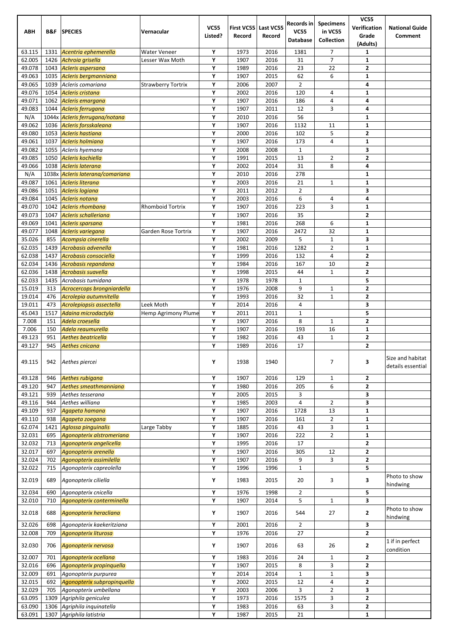|                  |              |                                                             |                           |                        |                      |                     | Records in     | <b>Specimens</b>     | <b>VC55</b>                    |                                  |
|------------------|--------------|-------------------------------------------------------------|---------------------------|------------------------|----------------------|---------------------|----------------|----------------------|--------------------------------|----------------------------------|
| ABH              | B&F          | <b>SPECIES</b>                                              | Vernacular                | <b>VC55</b><br>Listed? | First VC55<br>Record | Last VC55<br>Record | <b>VC55</b>    | in VC55              | Verification<br>Grade          | <b>National Guide</b><br>Comment |
|                  |              |                                                             |                           |                        |                      |                     | Database       | Collection           | (Adults)                       |                                  |
| 63.115           | 1331         | Acentria ephemerella                                        | <b>Water Veneer</b>       | Υ                      | 1973                 | 2016                | 1381           | 7                    | $\mathbf{1}$                   |                                  |
| 62.005           | 1426         | Achroia grisella                                            | Lesser Wax Moth           | Y                      | 1907                 | 2016                | 31             | $\overline{7}$       | $\mathbf{1}$                   |                                  |
| 49.078           | 1043         | Acleris aspersana                                           |                           | Υ                      | 1989                 | 2016                | 23             | 22                   | $\overline{2}$                 |                                  |
| 49.063           | 1035         | Acleris bergmanniana                                        |                           | Υ                      | 1907                 | 2015                | 62             | 6                    | $\mathbf{1}$                   |                                  |
| 49.065           | 1039         | Acleris comariana                                           | <b>Strawberry Tortrix</b> | Υ                      | 2006                 | 2007                | $\overline{2}$ |                      | 4                              |                                  |
| 49.076<br>49.071 | 1054<br>1062 | Acleris cristana<br>Acleris emargana                        |                           | Υ<br>Y                 | 2002<br>1907         | 2016<br>2016        | 120<br>186     | 4<br>4               | $\mathbf{1}$<br>4              |                                  |
| 49.083           | 1044         | Acleris ferrugana                                           |                           | Υ                      | 1907                 | 2011                | 12             | 3                    | 4                              |                                  |
| N/A              |              | 1044x Acleris ferrugana/notana                              |                           | Υ                      | 2010                 | 2016                | 56             |                      | $\mathbf{1}$                   |                                  |
| 49.062           | 1036         | Acleris forsskaleana                                        |                           | Υ                      | 1907                 | 2016                | 1132           | 11                   | 1                              |                                  |
| 49.080           | 1053         | <b>Acleris hastiana</b>                                     |                           | Υ                      | 2000                 | 2016                | 102            | 5                    | $\mathbf{2}$                   |                                  |
| 49.061           | 1037         | Acleris holmiana                                            |                           | Y                      | 1907                 | 2016                | 173            | 4                    | 1                              |                                  |
| 49.082           | 1055         | Acleris hyemana                                             |                           | Υ                      | 2008                 | 2008                | $\mathbf{1}$   |                      | 3                              |                                  |
| 49.085           | 1050         | Acleris kochiella                                           |                           | Υ                      | 1991                 | 2015                | 13             | 2                    | $\overline{2}$                 |                                  |
| 49.066           | 1038         | Acleris laterana                                            |                           | Υ<br>Y                 | 2002                 | 2014                | 31             | 8                    | 4                              |                                  |
| N/A<br>49.087    | 1061         | 1038x Acleris laterana/comariana<br><b>Acleris literana</b> |                           | Y                      | 2010<br>2003         | 2016<br>2016        | 278<br>21      | $\mathbf{1}$         | $\mathbf{1}$<br>$\mathbf{1}$   |                                  |
| 49.086           | 1051         | Acleris logiana                                             |                           | Υ                      | 2011                 | 2012                | $\overline{2}$ |                      | 3                              |                                  |
| 49.084           | 1045         | Acleris notana                                              |                           | Υ                      | 2003                 | 2016                | 6              | 4                    | 4                              |                                  |
| 49.070           | 1042         | <b>Acleris rhombana</b>                                     | <b>Rhomboid Tortrix</b>   | Υ                      | 1907                 | 2016                | 223            | 3                    | 1                              |                                  |
| 49.073           | 1047         | Acleris schalleriana                                        |                           | Y                      | 1907                 | 2016                | 35             |                      | $\mathbf{2}$                   |                                  |
| 49.069           | 1041         | Acleris sparsana                                            |                           | Y                      | 1981                 | 2016                | 268            | 6                    | 1                              |                                  |
| 49.077           | 1048         | Acleris variegana                                           | Garden Rose Tortrix       | Υ                      | 1907                 | 2016                | 2472           | 32                   | 1                              |                                  |
| 35.026           | 855          | Acompsia cinerella                                          |                           | Υ                      | 2002                 | 2009                | 5              | $\mathbf{1}$         | 3                              |                                  |
| 62.035           | 1439         | Acrobasis advenella                                         |                           | Υ                      | 1981                 | 2016                | 1282           | $\overline{2}$       | 1                              |                                  |
| 62.038<br>62.034 | 1437<br>1436 | Acrobasis consociella<br>Acrobasis repandana                |                           | Y<br>Y                 | 1999<br>1984         | 2016<br>2016        | 132<br>167     | 4<br>10              | $\mathbf{2}$<br>$\overline{2}$ |                                  |
| 62.036           | 1438         | Acrobasis suavella                                          |                           | Υ                      | 1998                 | 2015                | 44             | $\mathbf{1}$         | $\overline{2}$                 |                                  |
| 62.033           | 1435         | Acrobasis tumidana                                          |                           | Υ                      | 1978                 | 1978                | $\mathbf 1$    |                      | 5                              |                                  |
| 15.019           | 313          | Acrocercops brongniardella                                  |                           | Υ                      | 1976                 | 2008                | 9              | 1                    | $\overline{2}$                 |                                  |
| 19.014           | 476          | Acrolepia autumnitella                                      |                           | Y                      | 1993                 | 2016                | 32             | $\mathbf{1}$         | $\overline{2}$                 |                                  |
| 19.011           | 473          | Acrolepiopsis assectella                                    | Leek Moth                 | Y                      | 2014                 | 2016                | 4              |                      | 3                              |                                  |
| 45.043           | 1517         | Adaina microdactyla                                         | Hemp Agrimony Plume       | Υ                      | 2011                 | 2011                | $\mathbf{1}$   |                      | 5                              |                                  |
| 7.008            | 151          | Adela croesella                                             |                           | Υ                      | 1907                 | 2016                | 8              | $\mathbf{1}$         | $\overline{\mathbf{2}}$        |                                  |
| 7.006            | 150          | Adela reaumurella<br>Aethes beatricella                     |                           | Υ<br>Y                 | 1907                 | 2016                | 193            | 16<br>$\mathbf{1}$   | 1<br>$\mathbf{2}$              |                                  |
| 49.123<br>49.127 | 951<br>945   | Aethes cnicana                                              |                           | Y                      | 1982<br>1989         | 2016<br>2016        | 43<br>17       |                      | $\overline{2}$                 |                                  |
|                  |              |                                                             |                           |                        |                      |                     |                |                      |                                |                                  |
| 49.115           | 942          | Aethes piercei                                              |                           | Υ                      | 1938                 | 1940                |                | 7                    | 3                              | Size and habitat                 |
|                  |              |                                                             |                           |                        |                      |                     |                |                      |                                | details essential                |
| 49.128           | 946          | Aethes rubigana                                             |                           | Υ                      | 1907                 | 2016                | 129            | $\mathbf 1$          | $\overline{2}$                 |                                  |
| 49.120           | 947          | Aethes smeathmanniana                                       |                           | Υ                      | 1980                 | 2016                | 205            | 6                    | $\mathbf{2}$                   |                                  |
| 49.121           | 939          | Aethes tesserana                                            |                           | Υ                      | 2005                 | 2015                | 3              |                      | 3                              |                                  |
| 49.116           | 944          | Aethes williana                                             |                           | Υ                      | 1985                 | 2003                | 4              | 2                    | 3                              |                                  |
| 49.109<br>49.110 | 937<br>938   | Agapeta hamana<br>Agapeta zoegana                           |                           | Υ<br>Υ                 | 1907<br>1907         | 2016<br>2016        | 1728<br>161    | 13<br>$\overline{2}$ | $\mathbf 1$<br>$\mathbf 1$     |                                  |
| 62.074           | 1421         | Aglossa pinguinalis                                         | Large Tabby               | Υ                      | 1885                 | 2016                | 43             | 3                    | $\mathbf 1$                    |                                  |
| 32.031           | 695          | Agonopterix alstromeriana                                   |                           | Υ                      | 1907                 | 2016                | 222            | 2                    | $\mathbf{1}$                   |                                  |
| 32.032           | 713          | Agonopterix angelicella                                     |                           | Υ                      | 1995                 | 2016                | 17             |                      | $\mathbf 2$                    |                                  |
| 32.017           | 697          | Agonopterix arenella                                        |                           | Υ                      | 1907                 | 2016                | 305            | 12                   | $\mathbf 2$                    |                                  |
| 32.024           | 702          | Agonopterix assimilella                                     |                           | Υ                      | 1907                 | 2016                | 9              | 3                    | $\mathbf{2}$                   |                                  |
| 32.022           | 715          | Agonopterix capreolella                                     |                           | Υ                      | 1996                 | 1996                | $\mathbf 1$    |                      | 5                              |                                  |
| 32.019           | 689          | Agonopterix ciliella                                        |                           | Υ                      | 1983                 | 2015                | 20             | 3                    | 3                              | Photo to show                    |
| 32.034           | 690          | Agonopterix cnicella                                        |                           | Υ                      |                      | 1998                | $\overline{2}$ |                      | 5                              | hindwing                         |
| 32.010           | 710          | Agonopterix conterminella                                   |                           | Υ                      | 1976<br>1907         | 2014                | 5              | 1                    | 3                              |                                  |
|                  |              |                                                             |                           |                        |                      |                     |                |                      |                                | Photo to show                    |
| 32.018           | 688          | Agonopterix heracliana                                      |                           | Υ                      | 1907                 | 2016                | 544            | 27                   | $\overline{\mathbf{2}}$        | hindwing                         |
| 32.026           | 698          | Agonopterix kaekeritziana                                   |                           | Υ                      | 2001                 | 2016                | $\overline{2}$ |                      | 3                              |                                  |
| 32.008           | 709          | Agonopterix liturosa                                        |                           | Υ                      | 1976                 | 2016                | 27             |                      | $\mathbf{2}$                   |                                  |
| 32.030           | 706          | Agonopterix nervosa                                         |                           | Υ                      | 1907                 | 2016                | 63             | 26                   | $\overline{\mathbf{2}}$        | 1 if in perfect                  |
|                  |              |                                                             |                           |                        |                      |                     |                |                      |                                | condition                        |
| 32.007           | 701          | Agonopterix ocellana                                        |                           | Υ                      | 1983                 | 2016                | 24             | $\mathbf{1}$         | $\mathbf{2}$                   |                                  |
| 32.016           | 696          | Agonopterix propinquella                                    |                           | Υ                      | 1907                 | 2015                | 8              | 3                    | $\overline{\mathbf{2}}$        |                                  |
| 32.009<br>32.015 | 691<br>692   | Agonopterix purpurea<br>Agonopterix subpropinquella         |                           | Υ<br>Υ                 | 2014<br>2002         | 2014<br>2015        | $1\,$<br>12    | $\mathbf{1}$<br>4    | 3<br>$\overline{\mathbf{2}}$   |                                  |
| 32.029           | 705          | Agonopterix umbellana                                       |                           | Υ                      | 2003                 | 2006                | 3              | $\overline{2}$       | 3                              |                                  |
| 63.095           | 1309         | Agriphila geniculea                                         |                           | Υ                      | 1973                 | 2016                | 1575           | 3                    | $\mathbf{2}$                   |                                  |
| 63.090           | 1306         | Agriphila inquinatella                                      |                           | Υ                      | 1983                 | 2016                | 63             | 3                    | 2                              |                                  |
| 63.091           | 1307         | Agriphila latistria                                         |                           | Y                      | 1987                 | 2015                | 21             |                      | $\mathbf{1}$                   |                                  |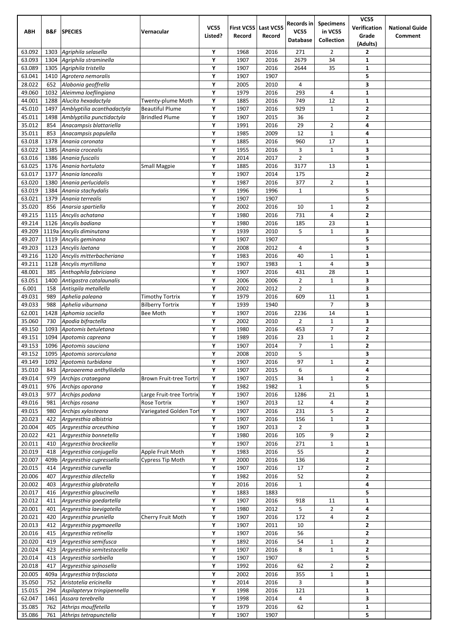|                  |              |                                                    |                                                   |             |              |              | Records in      | <b>Specimens</b>     | VCS <sub>5</sub>        |                       |
|------------------|--------------|----------------------------------------------------|---------------------------------------------------|-------------|--------------|--------------|-----------------|----------------------|-------------------------|-----------------------|
| <b>ABH</b>       | B&F          | <b>SPECIES</b>                                     | Vernacular                                        | <b>VC55</b> | First VC55   | Last VC55    | <b>VC55</b>     | in VC55              | Verification            | <b>National Guide</b> |
|                  |              |                                                    |                                                   | Listed?     | Record       | Record       | <b>Database</b> | Collection           | Grade                   | Comment               |
| 63.092           | 1303         | Agriphila selasella                                |                                                   | Υ           | 1968         | 2016         | 271             | $\overline{2}$       | (Adults)<br>2           |                       |
| 63.093           | 1304         | Agriphila straminella                              |                                                   | Υ           | 1907         | 2016         | 2679            | 34                   | $\mathbf{1}$            |                       |
| 63.089           | 1305         | Agriphila tristella                                |                                                   | Υ           | 1907         | 2016         | 2644            | 35                   | 1                       |                       |
| 63.041           | 1410         | Agrotera nemoralis                                 |                                                   | Υ           | 1907         | 1907         |                 |                      | 5                       |                       |
| 28.022           | 652          | Alabonia geoffrella                                |                                                   | Υ           | 2005         | 2010         | 4               |                      | 3                       |                       |
| 49.060           | 1032         | Aleimma loeflingiana                               |                                                   | Υ           | 1979         | 2016         | 293             | 4                    | $\mathbf{1}$            |                       |
| 44.001           | 1288         | Alucita hexadactyla                                | Twenty-plume Moth                                 | Υ           | 1885         | 2016         | 749             | 12                   | $\mathbf{1}$            |                       |
| 45.010           | 1497         | Amblyptilia acanthadactyla                         | <b>Beautiful Plume</b>                            | Υ           | 1907         | 2016         | 929             | $\mathbf{1}$         | $\mathbf{2}$            |                       |
| 45.011           | 1498         | Amblyptilia punctidactyla                          | <b>Brindled Plume</b>                             | Υ           | 1907         | 2015         | 36              |                      | $\overline{\mathbf{2}}$ |                       |
| 35.012           | 854          | Anacampsis blattariella                            |                                                   | Υ           | 1991         | 2016         | 29              | 2                    | 4                       |                       |
| 35.011           | 853          | Anacampsis populella                               |                                                   | Y           | 1985         | 2009         | 12              | $\mathbf{1}$         | 4                       |                       |
| 63.018<br>63.022 | 1378<br>1385 | Anania coronata<br>Anania crocealis                |                                                   | Υ<br>Υ      | 1885<br>1955 | 2016<br>2016 | 960<br>3        | 17<br>$\mathbf 1$    | $\mathbf{1}$<br>3       |                       |
| 63.016           | 1386         | Anania fuscalis                                    |                                                   | Υ           | 2014         | 2017         | $\overline{2}$  |                      | 3                       |                       |
| 63.025           | 1376         | Anania hortulata                                   | <b>Small Magpie</b>                               | Υ           | 1885         | 2016         | 3177            | 13                   | 1                       |                       |
| 63.017           | 1377         | Anania lancealis                                   |                                                   | Υ           | 1907         | 2014         | 175             |                      | $\mathbf{2}$            |                       |
| 63.020           | 1380         | Anania perlucidalis                                |                                                   | Υ           | 1987         | 2016         | 377             | $\overline{2}$       | $\mathbf{1}$            |                       |
| 63.019           | 1384         | Anania stachydalis                                 |                                                   | Υ           | 1996         | 1996         | $\mathbf{1}$    |                      | 5                       |                       |
| 63.021           | 1379         | Anania terrealis                                   |                                                   | Υ           | 1907         | 1907         |                 |                      | 5                       |                       |
| 35.020           | 856          | Anarsia spartiella                                 |                                                   | Υ           | 2002         | 2016         | 10              | $\mathbf{1}$         | $\mathbf{2}$            |                       |
| 49.215           | 1115         | Ancylis achatana                                   |                                                   | Υ           | 1980         | 2016         | 731             | 4                    | $\mathbf{2}$            |                       |
| 49.214           |              | 1126 Ancylis badiana                               |                                                   | Y           | 1980         | 2016         | 185             | 23                   | $\mathbf{1}$            |                       |
| 49.209           |              | 1119a Ancylis diminutana                           |                                                   | Υ           | 1939         | 2010         | 5               | $\mathbf 1$          | 3                       |                       |
| 49.207           | 1119         | Ancylis geminana                                   |                                                   | Υ           | 1907         | 1907         |                 |                      | 5                       |                       |
| 49.203           | 1123         | Ancylis laetana                                    |                                                   | Υ           | 2008         | 2012         | 4               |                      | 3                       |                       |
| 49.216           | 1120         | Ancylis mitterbacheriana                           |                                                   | Υ           | 1983         | 2016         | 40              | $\mathbf{1}$         | $\mathbf{1}$            |                       |
| 49.211           | 1128         | Ancylis myrtillana                                 |                                                   | Υ           | 1907         | 1983         | $\mathbf 1$     | $\overline{4}$       | 3                       |                       |
| 48.001           | 385          | Anthophila fabriciana                              |                                                   | Υ           | 1907         | 2016         | 431             | 28                   | $\mathbf{1}$            |                       |
| 63.051           | 1400         | Antigastra catalaunalis                            |                                                   | Υ           | 2006         | 2006         | $\overline{2}$  | $\mathbf{1}$         | 3                       |                       |
| 6.001            | 158          | Antispila metallella                               |                                                   | Υ           | 2002         | 2012         | 2               |                      | 3                       |                       |
| 49.031<br>49.033 | 989<br>988   | Aphelia paleana<br>Aphelia viburnana               | <b>Timothy Tortrix</b><br><b>Bilberry Tortrix</b> | Υ<br>Υ      | 1979<br>1939 | 2016<br>1940 | 609             | 11<br>$\overline{7}$ | $\mathbf{1}$<br>3       |                       |
| 62.001           | 1428         | Aphomia sociella                                   | Bee Moth                                          | Υ           | 1907         | 2016         | 2236            | 14                   | 1                       |                       |
| 35.060           | 730          | Apodia bifractella                                 |                                                   | Υ           | 2002         | 2010         | $\overline{2}$  | $\mathbf{1}$         | 3                       |                       |
| 49.150           | 1093         | Apotomis betuletana                                |                                                   | Υ           | 1980         | 2016         | 453             | $\overline{7}$       | 2                       |                       |
| 49.151           | 1094         | Apotomis capreana                                  |                                                   | Υ           | 1989         | 2016         | 23              | $\mathbf 1$          | $\mathbf{2}$            |                       |
| 49.153           |              | 1096 Apotomis sauciana                             |                                                   | Υ           | 1907         | 2014         | $\overline{7}$  | $\mathbf 1$          | $\mathbf 2$             |                       |
| 49.152           |              | 1095 Apotomis sororculana                          |                                                   | Υ           | 2008         | 2010         | 5               |                      | 3                       |                       |
| 49.149           |              | 1092 Apotomis turbidana                            |                                                   | Υ           | 1907         | 2016         | 97              | $\mathbf{1}$         | $\mathbf{z}$            |                       |
| 35.010           | 843          | Aproaerema anthyllidella                           |                                                   | Υ           | 1907         | 2015         | 6               |                      | 4                       |                       |
| 49.014           | 979          | Archips crataegana                                 | Brown Fruit-tree Tortri                           | Υ           | 1907         | 2015         | 34              | $\mathbf{1}$         | 2                       |                       |
| 49.011           | 976          | Archips oporana                                    |                                                   | Υ           | 1982         | 1982         | $\mathbf 1$     |                      | 5                       |                       |
| 49.013           | 977          | Archips podana                                     | Large Fruit-tree Tortrix                          | Υ           | 1907         | 2016         | 1286            | 21                   | $\mathbf{1}$            |                       |
| 49.016           | 981          | Archips rosana                                     | Rose Tortrix                                      | Υ           | 1907         | 2013         | 12              | $\overline{4}$       | $\mathbf{z}$            |                       |
| 49.015           | 980          | Archips xylosteana                                 | Variegated Golden Torl                            | Υ           | 1907         | 2016         | 231             | 5                    | 2                       |                       |
| 20.023           | 422          | Argyresthia albistria                              |                                                   | Υ           | 1907         | 2016         | 156             | $\mathbf{1}$         | $\mathbf{2}$            |                       |
| 20.004           | 405          | Argyresthia arceuthina                             |                                                   | Υ           | 1907         | 2013         | $\overline{2}$  |                      | 3                       |                       |
| 20.022           | 421          | Argyresthia bonnetella                             |                                                   | Υ           | 1980         | 2016         | 105             | 9                    | $\overline{\mathbf{2}}$ |                       |
| 20.011           | 410          | Argyresthia brockeella                             |                                                   | Υ           | 1907         | 2016         | 271             | $\mathbf{1}$         | $\mathbf{1}$            |                       |
| 20.019           | 418          | Argyresthia conjugella                             | Apple Fruit Moth                                  | Υ           | 1983         | 2016         | 55              |                      | 2                       |                       |
| 20.007           | 409b         | Argyresthia cupressella                            | Cypress Tip Moth                                  | Υ           | 2000         | 2016         | 136             |                      | $\mathbf{2}$            |                       |
| 20.015           | 414          | Argyresthia curvella                               |                                                   | Υ           | 1907         | 2016         | 17              |                      | $\mathbf{2}$            |                       |
| 20.006           | 407          | Argyresthia dilectella                             |                                                   | Υ           | 1982         | 2016         | 52              |                      | $\overline{\mathbf{2}}$ |                       |
| 20.002           | 403          | Argyresthia glabratella                            |                                                   | Υ           | 2016         | 2016         | $\mathbf{1}$    |                      | 4                       |                       |
| 20.017<br>20.012 | 416<br>411   | Argyresthia glaucinella<br>Argyresthia goedartella |                                                   | Υ<br>Υ      | 1883<br>1907 | 1883<br>2016 | 918             | 11                   | 5<br>$\mathbf 1$        |                       |
| 20.001           | 401          | Argyresthia laevigatella                           |                                                   | Υ           | 1980         | 2012         | 5               | $\overline{2}$       | 4                       |                       |
| 20.021           | 420          | Argyresthia pruniella                              | Cherry Fruit Moth                                 | Υ           | 1907         | 2016         | 172             | 4                    | $\overline{\mathbf{2}}$ |                       |
| 20.013           | 412          | Argyresthia pygmaeella                             |                                                   | Υ           | 1907         | 2011         | 10              |                      | 2                       |                       |
| 20.016           | 415          | Argyresthia retinella                              |                                                   | Υ           | 1907         | 2016         | 56              |                      | 2                       |                       |
| 20.020           | 419          | Argyresthia semifusca                              |                                                   | Υ           | 1892         | 2016         | 54              | $\mathbf{1}$         | $\mathbf{2}$            |                       |
| 20.024           | 423          | Argyresthia semitestacella                         |                                                   | Υ           | 1907         | 2016         | 8               | $\mathbf 1$          | $\mathbf{2}$            |                       |
| 20.014           | 413          | Argyresthia sorbiella                              |                                                   | Υ           | 1907         | 1907         |                 |                      | 5                       |                       |
| 20.018           | 417          | Argyresthia spinosella                             |                                                   | Υ           | 1992         | 2016         | 62              | $\overline{2}$       | $\mathbf{z}$            |                       |
| 20.005           | 409a         | Argyresthia trifasciata                            |                                                   | Υ           | 2002         | 2016         | 355             | $\mathbf{1}$         | 1                       |                       |
| 35.050           | 752          | Aristotelia ericinella                             |                                                   | Υ           | 2014         | 2016         | 3               |                      | 3                       |                       |
| 15.015           | 294          | Aspilapteryx tringipennella                        |                                                   | Υ           | 1998         | 2016         | 121             |                      | $\mathbf{1}$            |                       |
| 62.047           | 1461         | Assara terebrella                                  |                                                   | Υ           | 1998         | 2014         | 4               |                      | 3                       |                       |
| 35.085           | 762          | Athrips mouffetella                                |                                                   | Υ           | 1979         | 2016         | 62              |                      | $\mathbf{1}$            |                       |
| 35.086           | 761          | Athrips tetrapunctella                             |                                                   | Υ           | 1907         | 1907         |                 |                      | 5                       |                       |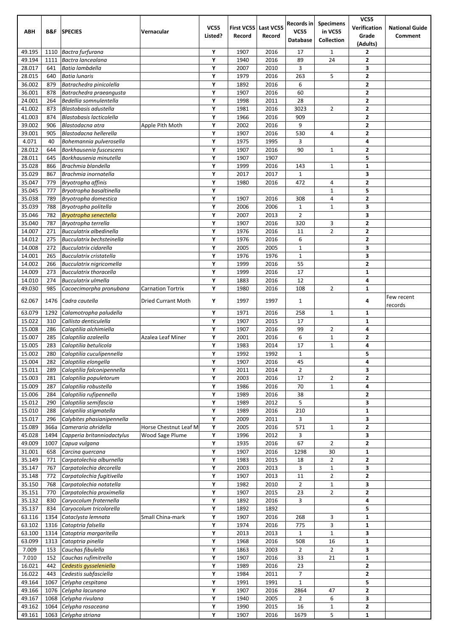|                  |             |                                                      |                          |                        |                      |                     | Records in            | <b>Specimens</b>               | <b>VC55</b>                  |                                  |
|------------------|-------------|------------------------------------------------------|--------------------------|------------------------|----------------------|---------------------|-----------------------|--------------------------------|------------------------------|----------------------------------|
| <b>ABH</b>       | B&F         | <b>SPECIES</b>                                       | Vernacular               | <b>VC55</b><br>Listed? | First VC55<br>Record | Last VC55<br>Record | <b>VC55</b>           | in VC55                        | Verification<br>Grade        | <b>National Guide</b><br>Comment |
|                  |             |                                                      |                          |                        |                      |                     | <b>Database</b>       | Collection                     | (Adults)                     |                                  |
| 49.195           | 1110        | Bactra furfurana                                     |                          | Υ                      | 1907                 | 2016                | 17                    | $\mathbf{1}$                   | 2                            |                                  |
| 49.194           | 1111        | Bactra lancealana                                    |                          | Υ                      | 1940                 | 2016                | 89                    | 24                             | $\overline{\mathbf{2}}$      |                                  |
| 28.017           | 641         | Batia lambdella                                      |                          | Υ                      | 2007                 | 2010                | 3                     |                                | 3                            |                                  |
| 28.015           | 640         | Batia lunaris                                        |                          | Υ                      | 1979                 | 2016                | 263                   | 5                              | $\overline{2}$               |                                  |
| 36.002<br>36.001 | 879<br>878  | Batrachedra pinicolella<br>Batrachedra praeangusta   |                          | Υ<br>Υ                 | 1892<br>1907         | 2016<br>2016        | 6<br>60               |                                | 2<br>$\mathbf{2}$            |                                  |
| 24.001           | 264         | Bedellia somnulentella                               |                          | Υ                      | 1998                 | 2011                | 28                    |                                | $\overline{\mathbf{2}}$      |                                  |
| 41.002           | 873         | Blastobasis adustella                                |                          | Υ                      | 1981                 | 2016                | 3023                  | 2                              | $\overline{\mathbf{2}}$      |                                  |
| 41.003           | 874         | Blastobasis lacticolella                             |                          | Υ                      | 1966                 | 2016                | 909                   |                                | $\overline{\mathbf{2}}$      |                                  |
| 39.002           | 906         | Blastodacna atra                                     | Apple Pith Moth          | Υ                      | 2002                 | 2016                | 9                     |                                | 2                            |                                  |
| 39.001           | 905         | Blastodacna hellerella                               |                          | Υ                      | 1907                 | 2016                | 530                   | 4                              | $\mathbf{2}$                 |                                  |
| 4.071            | 40          | Bohemannia pulverosella                              |                          | Υ                      | 1975                 | 1995                | 3                     |                                | 4                            |                                  |
| 28.012<br>28.011 | 644<br>645  | Borkhausenia fuscescens<br>Borkhausenia minutella    |                          | Υ<br>Υ                 | 1907<br>1907         | 2016<br>1907        | 90                    | 1                              | $\mathbf{2}$<br>5            |                                  |
| 35.028           | 866         | Brachmia blandella                                   |                          | Υ                      | 1999                 | 2016                | 143                   | $\mathbf{1}$                   | 1                            |                                  |
| 35.029           | 867         | Brachmia inornatella                                 |                          | Υ                      | 2017                 | 2017                | $\mathbf{1}$          |                                | 3                            |                                  |
| 35.047           | 779         | Bryotropha affinis                                   |                          | Υ                      | 1980                 | 2016                | 472                   | 4                              | $\overline{\mathbf{2}}$      |                                  |
| 35.045           | 777         | Bryotropha basaltinella                              |                          | Υ                      |                      |                     |                       | $\mathbf{1}$                   | 5                            |                                  |
| 35.038           | 789         | Bryotropha domestica                                 |                          | Υ                      | 1907                 | 2016                | 308                   | 4                              | $\mathbf{z}$                 |                                  |
| 35.039           | 788         | Bryotropha politella                                 |                          | Υ                      | 2006                 | 2006                | $\mathbf{1}$          | $\mathbf{1}$                   | 3                            |                                  |
| 35.046<br>35.040 | 782<br>787  | Bryotropha senectella                                |                          | Υ<br>Y                 | 2007<br>1907         | 2013<br>2016        | $\overline{2}$<br>320 | 3                              | 3<br>$\overline{\mathbf{2}}$ |                                  |
| 14.007           | 271         | Bryotropha terrella<br>Bucculatrix albedinella       |                          | Υ                      | 1976                 | 2016                | 11                    | $\overline{2}$                 | $\overline{\mathbf{2}}$      |                                  |
| 14.012           | 275         | Bucculatrix bechsteinella                            |                          | Υ                      | 1976                 | 2016                | 6                     |                                | $\mathbf{2}$                 |                                  |
| 14.008           | 272         | Bucculatrix cidarella                                |                          | Υ                      | 2005                 | 2005                | $\mathbf{1}$          |                                | 3                            |                                  |
| 14.001           | 265         | Bucculatrix cristatella                              |                          | Υ                      | 1976                 | 1976                | $\mathbf{1}$          |                                | 3                            |                                  |
| 14.002           | 266         | Bucculatrix nigricomella                             |                          | Υ                      | 1999                 | 2016                | 55                    |                                | $\overline{\mathbf{2}}$      |                                  |
| 14.009           | 273         | <b>Bucculatrix thoracella</b>                        |                          | Υ                      | 1999                 | 2016                | 17                    |                                | $\mathbf{1}$                 |                                  |
| 14.010           | 274         | Bucculatrix ulmella                                  |                          | Υ                      | 1883                 | 2016                | 12                    |                                | 4                            |                                  |
| 49.030           | 985         | Cacoecimorpha pronubana                              | <b>Carnation Tortrix</b> | Υ                      | 1980                 | 2016                | 108                   | 2                              | 1                            | Few recent                       |
| 62.067           | 1476        | Cadra cautella                                       | Dried Currant Moth       | Υ                      | 1997                 | 1997                | $\mathbf{1}$          |                                | 4                            | records                          |
| 63.079           | 1292        | Calamotropha paludella                               |                          | Υ                      | 1971                 | 2016                | 258                   | $\mathbf{1}$                   | 1                            |                                  |
| 15.022           | 310         | Callisto denticulella                                |                          | Υ                      | 1907                 | 2015                | 17                    |                                | $\mathbf{1}$                 |                                  |
| 15.008           | 286         | Caloptilia alchimiella                               |                          | Υ                      | 1907                 | 2016                | 99                    | $\overline{2}$                 | 4                            |                                  |
| 15.007           | 285         | Caloptilia azaleella                                 | Azalea Leaf Miner        | Υ                      | 2001                 | 2016                | 6                     | $\mathbf{1}$                   | $\mathbf{2}$                 |                                  |
| 15.005<br>15.002 | 283<br>280  | Caloptilia betulicola                                |                          | Υ<br>Υ                 | 1983<br>1992         | 2014<br>1992        | 17<br>$\mathbf 1$     | $\mathbf 1$                    | 4<br>5                       |                                  |
| 15.004           | 282         | Caloptilia cuculipennella<br>Caloptilia elongella    |                          | Υ                      | 1907                 | 2016                | 45                    |                                | 4                            |                                  |
| 15.011           | 289         | Caloptilia falconipennella                           |                          | Υ                      | 2011                 | 2014                | 2                     |                                | з                            |                                  |
| 15.003           | 281         | Caloptilia populetorum                               |                          | Υ                      | 2003                 | 2016                | 17                    | $\overline{2}$                 | $\overline{\mathbf{2}}$      |                                  |
| 15.009           | 287         | Caloptilia robustella                                |                          | Υ                      | 1986                 | 2016                | 70                    | $\mathbf{1}$                   | 4                            |                                  |
| 15.006           | 284         | Caloptilia rufipennella                              |                          | Υ                      | 1989                 | 2016                | 38                    |                                | $\mathbf{2}$                 |                                  |
| 15.012           | 290         | Caloptilia semifascia                                |                          | Υ                      | 1989                 | 2012                | 5                     |                                | 3                            |                                  |
| 15.010           | 288         | Caloptilia stigmatella                               |                          | Υ<br>Υ                 | 1989                 | 2016                | 210                   |                                | 1<br>3                       |                                  |
| 15.017<br>15.089 | 296<br>366a | Calybites phasianipennella<br>Cameraria ohridella    | Horse Chestnut Leaf M    | Υ                      | 2009<br>2005         | 2011<br>2016        | 3<br>571              | $\mathbf{1}$                   | $\overline{\mathbf{2}}$      |                                  |
| 45.028           | 1494        | Capperia britanniodactylus                           | <b>Wood Sage Plume</b>   | Υ                      | 1996                 | 2012                | 3                     |                                | 3                            |                                  |
| 49.009           | 1007        | Capua vulgana                                        |                          | Υ                      | 1935                 | 2016                | 67                    | $\overline{2}$                 | $\mathbf{2}$                 |                                  |
| 31.001           | 658         | Carcina quercana                                     |                          | Υ                      | 1907                 | 2016                | 1298                  | 30                             | 1                            |                                  |
| 35.149           | 771         | Carpatolechia alburnella                             |                          | Υ                      | 1983                 | 2015                | 18                    | $\overline{2}$                 | $\mathbf{2}$                 |                                  |
| 35.147           | 767         | Carpatolechia decorella                              |                          | Υ                      | 2003                 | 2013                | 3                     | $\mathbf{1}$                   | 3                            |                                  |
| 35.148<br>35.150 | 772<br>768  | Carpatolechia fugitivella<br>Carpatolechia notatella |                          | Υ<br>Υ                 | 1907<br>1982         | 2013<br>2010        | 11<br>$\overline{2}$  | $\overline{2}$<br>$\mathbf{1}$ | $\mathbf{2}$<br>3            |                                  |
| 35.151           | 770         | Carpatolechia proximella                             |                          | Υ                      | 1907                 | 2015                | 23                    | $\overline{2}$                 | 2                            |                                  |
| 35.132           | 830         | Caryocolum fraternella                               |                          | Υ                      | 1892                 | 2016                | 3                     |                                | 4                            |                                  |
| 35.137           | 834         | Caryocolum tricolorella                              |                          | Υ                      | 1892                 | 1892                |                       |                                | 5                            |                                  |
| 63.116           | 1354        | Cataclysta lemnata                                   | Small China-mark         | Υ                      | 1907                 | 2016                | 268                   | 3                              | 1                            |                                  |
| 63.102           | 1316        | Catoptria falsella                                   |                          | Υ                      | 1974                 | 2016                | 775                   | 3                              | $\mathbf{1}$                 |                                  |
| 63.100           | 1314        | Catoptria margaritella                               |                          | Υ                      | 2013                 | 2013                | $\mathbf{1}$          | $\mathbf{1}$                   | 3                            |                                  |
| 63.099           | 1313        | Catoptria pinella                                    |                          | Υ                      | 1968                 | 2016                | 508                   | 16                             | 1                            |                                  |
| 7.009<br>7.010   | 153<br>152  | Cauchas fibulella<br>Cauchas rufimitrella            |                          | Υ<br>Υ                 | 1863<br>1907         | 2003<br>2016        | $\overline{2}$<br>33  | $\overline{2}$<br>21           | 3<br>1                       |                                  |
| 16.021           | 442         | Cedestis gysseleniella                               |                          | Υ                      | 1989                 | 2016                | 23                    |                                | $\mathbf{2}$                 |                                  |
| 16.022           | 443         | Cedestis subfasciella                                |                          | Υ                      | 1984                 | 2011                | 7                     |                                | 2                            |                                  |
| 49.164           | 1067        | Celypha cespitana                                    |                          | Υ                      | 1991                 | 1991                | $\mathbf{1}$          |                                | 5                            |                                  |
| 49.166           |             | 1076 Celypha lacunana                                |                          | Υ                      | 1907                 | 2016                | 2864                  | 47                             | $\mathbf{2}$                 |                                  |
| 49.167           | 1068        | Celypha rivulana                                     |                          | Υ                      | 1940                 | 2005                | $\overline{2}$        | 6                              | 3                            |                                  |
| 49.162           | 1064        | Celypha rosaceana                                    |                          | Υ                      | 1990                 | 2015                | 16                    | $\mathbf{1}$                   | $\mathbf{2}$                 |                                  |
| 49.161           |             | 1063 Celypha striana                                 |                          | Υ                      | 1907                 | 2016                | 1679                  | 5                              | 1                            |                                  |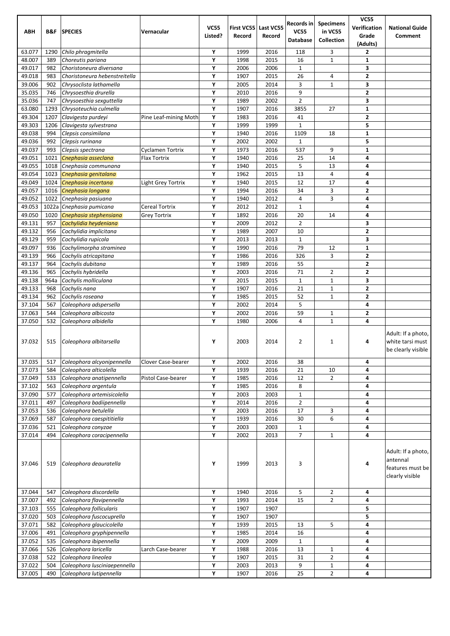| ABH              | B&F         | <b>SPECIES</b>                                     | Vernacular            | <b>VC55</b><br>Listed? | Record       | First VC55 Last VC55<br>Record | Records in<br><b>VC55</b><br><b>Database</b> | <b>Specimens</b><br>in VC55<br>Collection | <b>VC55</b><br>Verification<br>Grade<br>(Adults) | <b>National Guide</b><br>Comment                                      |
|------------------|-------------|----------------------------------------------------|-----------------------|------------------------|--------------|--------------------------------|----------------------------------------------|-------------------------------------------|--------------------------------------------------|-----------------------------------------------------------------------|
| 63.077           | 1290        | Chilo phragmitella                                 |                       | Υ                      | 1999         | 2016                           | 118                                          | 3                                         | 2                                                |                                                                       |
| 48.007           | 389         | Choreutis pariana                                  |                       | Υ                      | 1998         | 2015                           | 16                                           | $\mathbf{1}$                              | 1                                                |                                                                       |
| 49.017           | 982         | Choristoneura diversana                            |                       | Υ                      | 2006         | 2006                           | $\mathbf{1}$                                 |                                           | 3                                                |                                                                       |
| 49.018           | 983         | Choristoneura hebenstreitella                      |                       | Υ                      | 1907         | 2015                           | 26                                           | 4                                         | 2                                                |                                                                       |
| 39.006           | 902         | Chrysoclista lathamella                            |                       | Υ                      | 2005         | 2014                           | 3                                            | $\mathbf{1}$                              | 3                                                |                                                                       |
| 35.035           | 746         | Chrysoesthia drurella                              |                       | Υ                      | 2010         | 2016                           | 9                                            |                                           | 2                                                |                                                                       |
| 35.036<br>63.080 | 747<br>1293 | Chrysoesthia sexauttella<br>Chrysoteuchia culmella |                       | Υ<br>Y                 | 1989<br>1907 | 2002<br>2016                   | $\overline{2}$<br>3855                       | 27                                        | 3<br>$\mathbf{1}$                                |                                                                       |
| 49.304           | 1207        | Clavigesta purdeyi                                 | Pine Leaf-mining Moth | Y                      | 1983         | 2016                           | 41                                           |                                           | 2                                                |                                                                       |
| 49.303           | 1206        | Clavigesta sylvestrana                             |                       | Υ                      | 1999         | 1999                           | $\mathbf 1$                                  |                                           | 5                                                |                                                                       |
| 49.038           | 994         | Clepsis consimilana                                |                       | Y                      | 1940         | 2016                           | 1109                                         | 18                                        | 1                                                |                                                                       |
| 49.036           | 992         | Clepsis rurinana                                   |                       | Υ                      | 2002         | 2002                           | $\mathbf{1}$                                 |                                           | 5                                                |                                                                       |
| 49.037           | 993         | Clepsis spectrana                                  | Cyclamen Tortrix      | Υ                      | 1973         | 2016                           | 537                                          | 9                                         | 1                                                |                                                                       |
| 49.051           | 1021        | Cnephasia asseclana                                | Flax Tortrix          | Y                      | 1940         | 2016                           | 25                                           | 14                                        | 4                                                |                                                                       |
| 49.055           | 1018        | Cnephasia communana                                |                       | Υ                      | 1940         | 2015                           | 5                                            | 13                                        | 4                                                |                                                                       |
| 49.054           | 1023        | Cnephasia genitalana                               |                       | Υ                      | 1962         | 2015                           | 13                                           | 4                                         | 4                                                |                                                                       |
| 49.049           | 1024        | Cnephasia incertana                                | Light Grey Tortrix    | Υ                      | 1940         | 2015                           | 12                                           | 17                                        | 4                                                |                                                                       |
| 49.057           | 1016        | Cnephasia longana                                  |                       | Υ                      | 1994         | 2016                           | 34                                           | 3                                         | 2                                                |                                                                       |
| 49.052           | 1022        | Cnephasia pasiuana                                 |                       | Y                      | 1940         | 2012                           | $\overline{4}$                               | 3                                         | 4                                                |                                                                       |
| 49.053           |             | 1022a Cnephasia pumicana                           | Cereal Tortrix        | Υ                      | 2012         | 2012                           | $\mathbf{1}$                                 |                                           | 4                                                |                                                                       |
| 49.050           | 1020        | Cnephasia stephensiana                             | Grey Tortrix          | Υ                      | 1892         | 2016                           | 20                                           | 14                                        | 4                                                |                                                                       |
| 49.131           | 957         | Cochylidia heydeniana                              |                       | Υ                      | 2009         | 2012                           | $\overline{2}$                               |                                           | 3                                                |                                                                       |
| 49.132           | 956         | Cochylidia implicitana                             |                       | Υ                      | 1989         | 2007                           | 10                                           |                                           | 2                                                |                                                                       |
| 49.129           | 959         | Cochylidia rupicola                                |                       | Υ                      | 2013         | 2013                           | $\mathbf{1}$                                 |                                           | 3                                                |                                                                       |
| 49.097<br>49.139 | 936         | Cochylimorpha straminea<br>Cochylis atricapitana   |                       | Υ<br>Υ                 | 1990         | 2016<br>2016                   | 79<br>326                                    | 12<br>3                                   | 1<br>2                                           |                                                                       |
| 49.137           | 966<br>964  | Cochylis dubitana                                  |                       | Y                      | 1986<br>1989 | 2016                           | 55                                           |                                           | 2                                                |                                                                       |
| 49.136           | 965         | Cochylis hybridella                                |                       | Y                      | 2003         | 2016                           | 71                                           | $\overline{2}$                            | 2                                                |                                                                       |
| 49.138           | 964a        | Cochylis molliculana                               |                       | Υ                      | 2015         | 2015                           | $\mathbf{1}$                                 | $\mathbf{1}$                              | 3                                                |                                                                       |
| 49.133           | 968         | Cochylis nana                                      |                       | Υ                      | 1907         | 2016                           | 21                                           | $\mathbf{1}$                              | 2                                                |                                                                       |
| 49.134           | 962         | Cochylis roseana                                   |                       | Υ                      | 1985         | 2015                           | 52                                           | $\mathbf{1}$                              | 2                                                |                                                                       |
| 37.104           | 567         | Coleophora adspersella                             |                       | Y                      | 2002         | 2014                           | 5                                            |                                           | 4                                                |                                                                       |
| 37.063           | 544         | Coleophora albicosta                               |                       | Y                      | 2002         | 2016                           | 59                                           | $\mathbf{1}$                              | 2                                                |                                                                       |
| 37.050           | 532         | Coleophora albidella                               |                       | Υ                      | 1980         | 2006                           | 4                                            | $\mathbf{1}$                              | 4                                                |                                                                       |
| 37.032           | 515         | Coleophora albitarsella                            |                       | Υ                      | 2003         | 2014                           | $\overline{2}$                               | $\mathbf{1}$                              | 4                                                | Adult: If a photo,<br>white tarsi must<br>be clearly visible          |
| 37.035           | 517         | Coleophora alcyonipennella                         | Clover Case-bearer    | Υ                      | 2002         | 2016                           | 38                                           |                                           | 4                                                |                                                                       |
| 37.073           | 584         | Coleophora alticolella                             |                       | $\mathbf Y$            | 1939         | 2016                           | 21                                           | 10                                        | 4                                                |                                                                       |
| 37.049           | 533         | Coleophora anatipennella                           | Pistol Case-bearer    | Υ                      | 1985         | 2016                           | 12                                           | $\overline{2}$                            | 4                                                |                                                                       |
| 37.102           | 563         | Coleophora argentula                               |                       | Υ                      | 1985         | 2016                           | 8                                            |                                           | 4                                                |                                                                       |
| 37.090<br>37.011 | 577         | Coleophora artemisicolella                         |                       | Υ<br>Υ                 | 2003         | 2003                           | $\mathbf{1}$                                 |                                           | 4                                                |                                                                       |
| 37.053           | 497<br>536  | Coleophora badiipennella<br>Coleophora betulella   |                       | Υ                      | 2014<br>2003 | 2016<br>2016                   | $\overline{2}$<br>17                         | 3                                         | 4<br>4                                           |                                                                       |
| 37.069           | 587         | Coleophora caespititiella                          |                       | Υ                      | 1939         | 2016                           | 30                                           | 6                                         | 4                                                |                                                                       |
| 37.036           | 521         | Coleophora conyzae                                 |                       | Υ                      | 2003         | 2003                           | $\mathbf{1}$                                 |                                           | 4                                                |                                                                       |
| 37.014           | 494         | Coleophora coracipennella                          |                       | Y                      | 2002         | 2013                           | $\overline{7}$                               | $\mathbf{1}$                              | 4                                                |                                                                       |
| 37.046           | 519         | Coleophora deauratella                             |                       | Υ                      | 1999         | 2013                           | 3                                            |                                           | 4                                                | Adult: If a photo,<br>antennal<br>features must be<br>clearly visible |
| 37.044           | 547         | Coleophora discordella                             |                       | Υ                      | 1940         | 2016                           | 5                                            | $\overline{2}$                            | 4                                                |                                                                       |
| 37.007           | 492         | Coleophora flavipennella                           |                       | Υ                      | 1993         | 2014                           | 15                                           | $\overline{2}$                            | 4                                                |                                                                       |
| 37.103           | 555         | Coleophora follicularis                            |                       | Υ                      | 1907         | 1907                           |                                              |                                           | 5                                                |                                                                       |
| 37.020           | 503         | Coleophora fuscocuprella                           |                       | Υ                      | 1907         | 1907                           |                                              |                                           | 5                                                |                                                                       |
| 37.071           | 582         | Coleophora glaucicolella                           |                       | Υ                      | 1939         | 2015                           | 13                                           | 5                                         | 4                                                |                                                                       |
| 37.006<br>37.052 | 491         | Coleophora gryphipennella                          |                       | Y<br>Υ                 | 1985<br>2009 | 2014<br>2009                   | 16                                           |                                           | 4<br>4                                           |                                                                       |
| 37.066           | 535<br>526  | Coleophora ibipennella<br>Coleophora laricella     | Larch Case-bearer     | Υ                      | 1988         | 2016                           | $\mathbf{1}$<br>13                           | $1\,$                                     | 4                                                |                                                                       |
| 37.038           | 522         | Coleophora lineolea                                |                       | Υ                      | 1907         | 2015                           | 31                                           | $\overline{2}$                            | 4                                                |                                                                       |
| 37.022           | 504         | Coleophora lusciniaepennella                       |                       | Υ                      | 2003         | 2013                           | 9                                            | $\mathbf{1}$                              | 4                                                |                                                                       |
| 37.005           | 490         | Coleophora lutipennella                            |                       | Υ                      | 1907         | 2016                           | 25                                           | $\overline{2}$                            | 4                                                |                                                                       |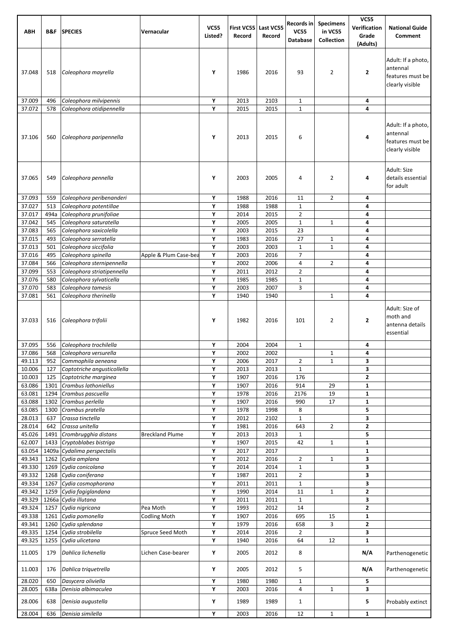| ABH              | B&F          | <b>SPECIES</b>                                        | Vernacular             | <b>VC55</b><br>Listed? | Record       | First VC55 Last VC55<br>Record | Records in<br><b>VC55</b><br><b>Database</b> | <b>Specimens</b><br>in VC55<br>Collection | <b>VC55</b><br>Verification<br>Grade<br>(Adults) | <b>National Guide</b><br>Comment                                      |
|------------------|--------------|-------------------------------------------------------|------------------------|------------------------|--------------|--------------------------------|----------------------------------------------|-------------------------------------------|--------------------------------------------------|-----------------------------------------------------------------------|
| 37.048           | 518          | Coleophora mayrella                                   |                        | Υ                      | 1986         | 2016                           | 93                                           | 2                                         | 2                                                | Adult: If a photo,<br>antennal<br>features must be<br>clearly visible |
| 37.009           | 496          | Coleophora milvipennis                                |                        | Υ                      | 2013         | 2103                           | $\mathbf{1}$                                 |                                           | 4                                                |                                                                       |
| 37.072           | 578          | Coleophora otidipennella                              |                        | Y                      | 2015         | 2015                           | $\mathbf{1}$                                 |                                           | 4                                                |                                                                       |
| 37.106           | 560          | Coleophora paripennella                               |                        | Υ                      | 2013         | 2015                           | 6                                            |                                           | 4                                                | Adult: If a photo,<br>antennal<br>features must be<br>clearly visible |
| 37.065           | 549          | Coleophora pennella                                   |                        | Υ                      | 2003         | 2005                           | 4                                            | 2                                         | 4                                                | Adult: Size<br>details essential<br>for adult                         |
| 37.093           | 559          | Coleophora peribenanderi                              |                        | Y                      | 1988         | 2016                           | 11                                           | $\overline{2}$                            | 4                                                |                                                                       |
| 37.027           | 513          | Coleophora potentillae                                |                        | Y                      | 1988         | 1988                           | $\mathbf{1}$                                 |                                           | 4                                                |                                                                       |
| 37.017<br>37.042 | 494a<br>545  | Coleophora prunifoliae<br>Coleophora saturatella      |                        | Υ<br>Υ                 | 2014<br>2005 | 2015<br>2005                   | $\overline{2}$<br>$\mathbf 1$                | $\mathbf{1}$                              | 4<br>4                                           |                                                                       |
| 37.083           | 565          | Coleophora saxicolella                                |                        | Y                      | 2003         | 2015                           | 23                                           |                                           | 4                                                |                                                                       |
| 37.015           | 493          | Coleophora serratella                                 |                        | Y                      | 1983         | 2016                           | 27                                           | $\mathbf 1$                               | 4                                                |                                                                       |
| 37.013           | 501          | Coleophora siccifolia                                 |                        | Y                      | 2003         | 2003                           | $\mathbf{1}$                                 | $\mathbf{1}$                              | 4                                                |                                                                       |
| 37.016           | 495          | Coleophora spinella                                   | Apple & Plum Case-bea  | Υ                      | 2003         | 2016                           | $\overline{7}$                               |                                           | 4                                                |                                                                       |
| 37.084           | 566          | Coleophora sternipennella                             |                        | Υ                      | 2002         | 2006                           | $\overline{4}$                               | $\overline{2}$                            | 4                                                |                                                                       |
| 37.099<br>37.076 | 553<br>580   | Coleophora striatipennella<br>Coleophora sylvaticella |                        | Y<br>Υ                 | 2011<br>1985 | 2012<br>1985                   | $\overline{2}$<br>$\mathbf 1$                |                                           | 4<br>4                                           |                                                                       |
| 37.070           | 583          | Coleophora tamesis                                    |                        | Y                      | 2003         | 2007                           | 3                                            |                                           | 4                                                |                                                                       |
| 37.081           | 561          | Coleophora therinella                                 |                        | Y                      | 1940         | 1940                           |                                              | $\mathbf{1}$                              | 4                                                |                                                                       |
| 37.033           | 516          | Coleophora trifolii<br>Coleophora trochilella         |                        | Υ<br>Υ                 | 1982         | 2016<br>2004                   | 101                                          | 2                                         | 2                                                | Adult: Size of<br>moth and<br>antenna details<br>essential            |
| 37.095<br>37.086 | 556<br>568   | Coleophora versurella                                 |                        | Y                      | 2004<br>2002 | 2002                           | 1                                            | $\mathbf{1}$                              | 4<br>4                                           |                                                                       |
| 49.113           | 952          | Commophila aeneana                                    |                        | Υ                      | 2006         | 2017                           | $\overline{2}$                               | $\mathbf{1}$                              | 3                                                |                                                                       |
| 10.006           | 127          | Coptotriche angusticollella                           |                        | Y                      | 2013         | 2013                           | $\mathbf 1$                                  |                                           | 3                                                |                                                                       |
| 10.003           | 125          | Coptotriche marginea                                  |                        | Υ                      | 1907         | 2016                           | 176                                          |                                           | 2                                                |                                                                       |
| 63.086           | 1301         | Crambus lathoniellus                                  |                        | Υ                      | 1907         | 2016                           | 914                                          | 29                                        | 1                                                |                                                                       |
| 63.081<br>63.088 | 1294         | Crambus pascuella                                     |                        | Y                      | 1978         | 2016                           | 2176                                         | 19<br>17                                  | 1                                                |                                                                       |
| 63.085           | 1302<br>1300 | Crambus perlella<br>Crambus pratella                  |                        | Y<br>Y                 | 1907<br>1978 | 2016<br>1998                   | 990<br>8                                     |                                           | 1<br>5                                           |                                                                       |
| 28.013           | 637          | Crassa tinctella                                      |                        | Υ                      | 2012         | 2102                           | $\mathbf{1}$                                 |                                           | 3                                                |                                                                       |
| 28.014           | 642          | Crassa unitella                                       |                        | Υ                      | 1981         | 2016                           | 643                                          | $\overline{2}$                            | 2                                                |                                                                       |
| 45.026           | 1491         | Crombrugghia distans                                  | <b>Breckland Plume</b> | Υ                      | 2013         | 2013                           | $1\,$                                        |                                           | 5                                                |                                                                       |
| 62.007           | 1433         | Cryptoblabes bistriga                                 |                        | Y                      | 1907         | 2015                           | 42                                           | $\mathbf{1}$                              | 1                                                |                                                                       |
| 63.054           | 1409a        | Cydalima perspectalis                                 |                        | Y                      | 2017         | 2017                           |                                              |                                           | 1                                                |                                                                       |
| 49.343<br>49.330 | 1262<br>1269 | Cydia amplana<br>Cydia conicolana                     |                        | Υ<br>Υ                 | 2012<br>2014 | 2016<br>2014                   | $\overline{2}$<br>$\mathbf{1}$               | $\mathbf{1}$                              | 3<br>3                                           |                                                                       |
| 49.332           | 1268         | Cydia coniferana                                      |                        | Υ                      | 1987         | 2011                           | $\overline{2}$                               |                                           | 3                                                |                                                                       |
| 49.334           | 1267         | Cydia cosmophorana                                    |                        | Y                      | 2011         | 2011                           | $\mathbf 1$                                  |                                           | 3                                                |                                                                       |
| 49.342           | 1259         | Cydia fagiglandana                                    |                        | Y                      | 1990         | 2014                           | 11                                           | $\mathbf{1}$                              | $\overline{\mathbf{2}}$                          |                                                                       |
| 49.329           |              | 1266a Cydia illutana                                  |                        | Υ                      | 2011         | 2011                           | $\mathbf{1}$                                 |                                           | 3                                                |                                                                       |
| 49.324<br>49.338 | 1257<br>1261 | Cydia nigricana<br>Cydia pomonella                    | Pea Moth               | Υ<br>Υ                 | 1993<br>1907 | 2012<br>2016                   | 14<br>695                                    | 15                                        | 2<br>1                                           |                                                                       |
| 49.341           | 1260         | Cydia splendana                                       | <b>Codling Moth</b>    | Y                      | 1979         | 2016                           | 658                                          | 3                                         | 2                                                |                                                                       |
| 49.335           | 1254         | Cydia strobilella                                     | Spruce Seed Moth       | Y                      | 2014         | 2016                           | $\overline{2}$                               |                                           | 3                                                |                                                                       |
| 49.325           | 1255         | Cydia ulicetana                                       |                        | Υ                      | 1940         | 2016                           | 64                                           | 12                                        | $\mathbf{1}$                                     |                                                                       |
| 11.005           | 179          | Dahlica lichenella                                    | Lichen Case-bearer     | Υ                      | 2005         | 2012                           | 8                                            |                                           | N/A                                              | Parthenogenetic                                                       |
| 11.003           | 176          | Dahlica triguetrella                                  |                        | Υ                      | 2005         | 2012                           | 5                                            |                                           | N/A                                              | Parthenogenetic                                                       |
| 28.020<br>28.005 | 650<br>638a  | Dasycera oliviella<br>Denisia albimaculea             |                        | Υ<br>Υ                 | 1980<br>2003 | 1980<br>2016                   | $\mathbf{1}$<br>4                            | $\mathbf{1}$                              | 5<br>3                                           |                                                                       |
| 28.006           | 638          | Denisia augustella                                    |                        | Υ                      | 1989         | 1989                           | $\mathbf{1}$                                 |                                           | 5                                                | Probably extinct                                                      |
| 28.004           | 636          | Denisia similella                                     |                        | Υ                      | 2003         | 2016                           | 12                                           | $\mathbf{1}$                              | $\mathbf{1}$                                     |                                                                       |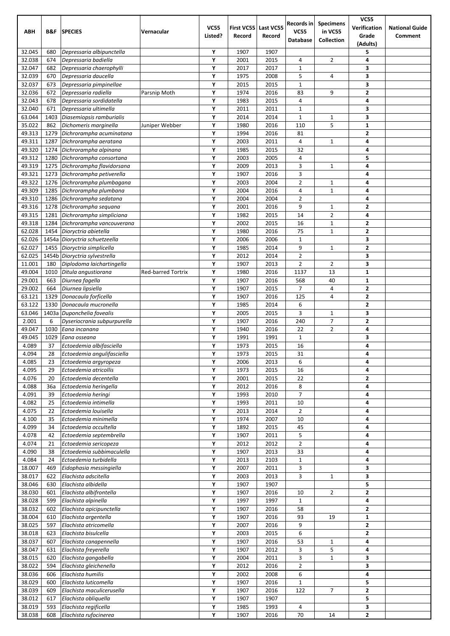|                  |              |                                                   |                           |             |              |              | Records in          | <b>Specimens</b>  | <b>VC55</b>             |                       |
|------------------|--------------|---------------------------------------------------|---------------------------|-------------|--------------|--------------|---------------------|-------------------|-------------------------|-----------------------|
| <b>ABH</b>       | B&F          | <b>SPECIES</b>                                    | Vernacular                | <b>VC55</b> | First VC55   | Last VC55    | <b>VC55</b>         | in VC55           | Verification            | <b>National Guide</b> |
|                  |              |                                                   |                           | Listed?     | Record       | Record       | <b>Database</b>     | <b>Collection</b> | Grade                   | Comment               |
|                  |              |                                                   |                           | Υ           |              |              |                     |                   | (Adults)                |                       |
| 32.045<br>32.038 | 680<br>674   | Depressaria albipunctella<br>Depressaria badiella |                           | Υ           | 1907<br>2001 | 1907<br>2015 | 4                   | $\overline{2}$    | 5<br>4                  |                       |
| 32.047           | 682          | Depressaria chaerophylli                          |                           | Υ           | 2017         | 2017         | $\mathbf{1}$        |                   | 3                       |                       |
| 32.039           | 670          | Depressaria daucella                              |                           | Y           | 1975         | 2008         | 5                   | 4                 | 3                       |                       |
| 32.037           | 673          | Depressaria pimpinellae                           |                           | Υ           | 2015         | 2015         | $\mathbf{1}$        |                   | 3                       |                       |
| 32.036           | 672          | Depressaria radiella                              | Parsnip Moth              | Υ           | 1974         | 2016         | 83                  | 9                 | $\overline{2}$          |                       |
| 32.043           | 678          | Depressaria sordidatella                          |                           | Υ           | 1983         | 2015         | 4                   |                   | 4                       |                       |
| 32.040           | 671          | Depressaria ultimella                             |                           | Υ           | 2011         | 2011         | $\mathbf 1$         |                   | 3                       |                       |
| 63.044           | 1403         | Diasemiopsis ramburialis                          |                           | Υ           | 2014         | 2014         | $\mathbf{1}$        | $\mathbf{1}$      | 3                       |                       |
| 35.022           | 862          | Dichomeris marginella                             | Juniper Webber            | Υ           | 1980         | 2016         | 110                 | 5                 | 1                       |                       |
| 49.313           | 1279         | Dichrorampha acuminatana                          |                           | Y           | 1994         | 2016         | 81                  |                   | $\mathbf{2}$            |                       |
| 49.311           | 1287         | Dichrorampha aeratana                             |                           | Υ           | 2003         | 2011         | 4                   | $\mathbf{1}$      | 4                       |                       |
| 49.320           | 1274         | Dichrorampha alpinana                             |                           | Y           | 1985         | 2015         | 32                  |                   | 4                       |                       |
| 49.312           | 1280         | Dichrorampha consortana                           |                           | Υ           | 2003         | 2005         | 4                   |                   | 5                       |                       |
| 49.319           | 1275         | Dichrorampha flavidorsana                         |                           | Υ           | 2009         | 2013         | 3                   | $\mathbf{1}$      | 4                       |                       |
| 49.321<br>49.322 | 1273<br>1276 | Dichrorampha petiverella                          |                           | Υ<br>Y      | 1907<br>2003 | 2016<br>2004 | 3<br>$\overline{2}$ | $\mathbf{1}$      | 4<br>4                  |                       |
| 49.309           | 1285         | Dichrorampha plumbagana<br>Dichrorampha plumbana  |                           | Υ           | 2004         | 2016         | 4                   | $\mathbf{1}$      | 4                       |                       |
| 49.310           | 1286         | Dichrorampha sedatana                             |                           | Υ           | 2004         | 2004         | $\overline{2}$      |                   | 4                       |                       |
| 49.316           | 1278         | Dichrorampha seguana                              |                           | Υ           | 2001         | 2016         | 9                   | $\mathbf{1}$      | 2                       |                       |
| 49.315           | 1281         | Dichrorampha simpliciana                          |                           | Υ           | 1982         | 2015         | 14                  | $\overline{2}$    | 4                       |                       |
| 49.318           | 1284         | Dichrorampha vancouverana                         |                           | Y           | 2002         | 2015         | 16                  | $\mathbf 1$       | $\overline{\mathbf{2}}$ |                       |
| 62.028           | 1454         | Dioryctria abietella                              |                           | Υ           | 1980         | 2016         | 75                  | $\mathbf 1$       | $\mathbf{2}$            |                       |
| 62.026           |              | 1454a Dioryctria schuetzeella                     |                           | Υ           | 2006         | 2006         | $\mathbf{1}$        |                   | 3                       |                       |
| 62.027           | 1455         | Dioryctria simplicella                            |                           | Υ           | 1985         | 2014         | 9                   | $\mathbf{1}$      | 2                       |                       |
| 62.025           |              | 1454b Dioryctria sylvestrella                     |                           | Υ           | 2012         | 2014         | $\overline{2}$      |                   | 3                       |                       |
| 11.001           | 180          | Diplodoma laichartingella                         |                           | Υ           | 1907         | 2013         | $\overline{2}$      | $\overline{2}$    | 3                       |                       |
| 49.004           | 1010         | Ditula angustiorana                               | <b>Red-barred Tortrix</b> | Υ           | 1980         | 2016         | 1137                | 13                | $\mathbf{1}$            |                       |
| 29.001           | 663          | Diurnea fagella                                   |                           | Υ           | 1907         | 2016         | 568                 | 40                | $\mathbf{1}$            |                       |
| 29.002           | 664          | Diurnea lipsiella                                 |                           | Y           | 1907         | 2015         | 7                   | 4                 | $\mathbf{2}$            |                       |
| 63.121           | 1329         | Donacaula forficella                              |                           | Υ           | 1907         | 2016         | 125                 | 4                 | $\overline{\mathbf{2}}$ |                       |
| 63.122           | 1330         | Donacaula mucronella                              |                           | Y           | 1985         | 2014         | 6                   |                   | $\overline{\mathbf{2}}$ |                       |
| 63.046           |              | 1403a Duponchelia fovealis                        |                           | Υ           | 2005         | 2015         | 3                   | $\mathbf{1}$      | 3                       |                       |
| 2.001<br>49.047  | 6            | Dyseriocrania subpurpurella<br>Eana incanana      |                           | Υ<br>Υ      | 1907         | 2016         | 240                 | $\overline{7}$    | $\mathbf{2}$            |                       |
| 49.045           | 1030<br>1029 | Eana osseana                                      |                           | Υ           | 1940<br>1991 | 2016<br>1991 | 22<br>$\mathbf{1}$  | $\overline{2}$    | 4<br>3                  |                       |
| 4.089            | 37           | Ectoedemia albifasciella                          |                           | Υ           | 1973         | 2015         | 16                  |                   | 4                       |                       |
| 4.094            | 28           | Ectoedemia angulifasciella                        |                           | Υ           | 1973         | 2015         | 31                  |                   | 4                       |                       |
| 4.085            | 23           | Ectoedemia argyropeza                             |                           | Υ           | 2006         | 2013         | 6                   |                   | 4                       |                       |
| 4.095            | 29           | Ectoedemia atricollis                             |                           | Υ           | 1973         | 2015         | 16                  |                   | 4                       |                       |
| 4.076            | 20           | Ectoedemia decentella                             |                           | Υ           | 2001         | 2015         | 22                  |                   | 2                       |                       |
| 4.088            | 36a          | Ectoedemia heringella                             |                           | Υ           | 2012         | 2016         | 8                   |                   | 4                       |                       |
| 4.091            | 39           | Ectoedemia heringi                                |                           | Υ           | 1993         | 2010         | $\overline{7}$      |                   | 4                       |                       |
| 4.082            | 25           | Ectoedemia intimella                              |                           | Υ           | 1993         | 2011         | 10                  |                   | 4                       |                       |
| 4.075            | 22           | Ectoedemia louisella                              |                           | Υ           | 2013         | 2014         | $\overline{2}$      |                   | 4                       |                       |
| 4.100            | 35           | Ectoedemia minimella                              |                           | Υ           | 1974         | 2007         | 10                  |                   | 4                       |                       |
| 4.099            | 34           | Ectoedemia occultella                             |                           | Υ           | 1892         | 2015         | 45                  |                   | 4                       |                       |
| 4.078            | 42           | Ectoedemia septembrella                           |                           | Υ           | 1907         | 2011         | 5                   |                   | 4                       |                       |
| 4.074            | 21           | Ectoedemia sericopeza                             |                           | Υ           | 2012         | 2012         | $\overline{2}$      |                   | 4                       |                       |
| 4.090            | 38           | Ectoedemia subbimaculella                         |                           | Υ<br>Υ      | 1907         | 2013         | 33                  |                   | 4                       |                       |
| 4.084<br>18.007  | 24<br>469    | Ectoedemia turbidella<br>Eidophasia messingiella  |                           | Υ           | 2013<br>2007 | 2103<br>2011 | $\mathbf{1}$<br>3   |                   | 4<br>3                  |                       |
| 38.017           | 622          | Elachista adscitella                              |                           | Υ           | 2003         | 2013         | 3                   | $\mathbf{1}$      | 3                       |                       |
| 38.046           | 630          | Elachista albidella                               |                           | Υ           | 1907         | 1907         |                     |                   | 5                       |                       |
| 38.030           | 601          | Elachista albifrontella                           |                           | Υ           | 1907         | 2016         | 10                  | $\overline{2}$    | 2                       |                       |
| 38.028           | 599          | Elachista alpinella                               |                           | Υ           | 1997         | 1997         | $\mathbf{1}$        |                   | 4                       |                       |
| 38.032           | 602          | Elachista apicipunctella                          |                           | Υ           | 1907         | 2016         | 58                  |                   | $\overline{\mathbf{2}}$ |                       |
| 38.004           | 610          | Elachista argentella                              |                           | Υ           | 1907         | 2016         | 93                  | 19                | $\mathbf{1}$            |                       |
| 38.025           | 597          | Elachista atricomella                             |                           | Υ           | 2007         | 2016         | 9                   |                   | $\mathbf{z}$            |                       |
| 38.018           | 623          | Elachista bisulcella                              |                           | Υ           | 2003         | 2015         | 6                   |                   | $\mathbf{2}$            |                       |
| 38.037           | 607          | Elachista canapennella                            |                           | Υ           | 1907         | 2016         | 53                  | $\mathbf{1}$      | 4                       |                       |
| 38.047           | 631          | Elachista freyerella                              |                           | Υ           | 1907         | 2012         | 3                   | 5                 | 4                       |                       |
| 38.015           | 620          | Elachista gangabella                              |                           | Υ           | 2004         | 2011         | 3                   | $\mathbf 1$       | 3                       |                       |
| 38.022           | 594          | Elachista gleichenella                            |                           | Υ           | 2012         | 2016         | $\overline{2}$      |                   | 3                       |                       |
| 38.036           | 606          | Elachista humilis                                 |                           | Υ           | 2002         | 2008         | 6                   |                   | 4                       |                       |
| 38.029           | 600          | Elachista luticomella                             |                           | Υ           | 1907         | 2016         | $\mathbf{1}$        |                   | 5                       |                       |
| 38.039           | 609          | Elachista maculicerusella                         |                           | Υ           | 1907         | 2016         | 122                 | 7                 | $\overline{\mathbf{2}}$ |                       |
| 38.012<br>38.019 | 617<br>593   | Elachista obliquella<br>Elachista regificella     |                           | Υ<br>Υ      | 1907<br>1985 | 1907<br>1993 | 4                   |                   | 5<br>3                  |                       |
| 38.038           | 608          | Elachista rufocinerea                             |                           | Υ           | 1907         | 2016         | 70                  | 14                | $\mathbf{2}$            |                       |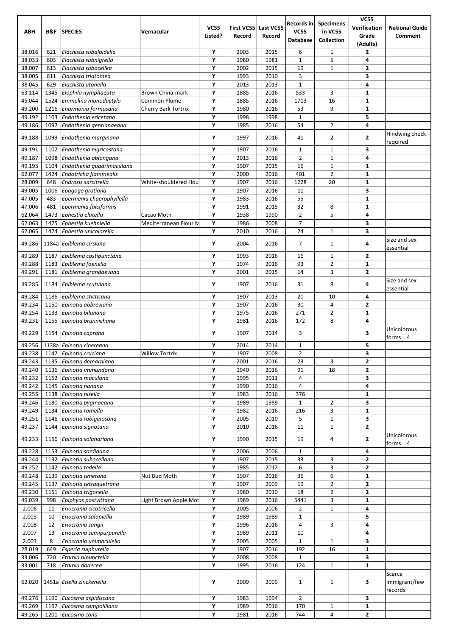|                  |              |                                          |                       |                        |                             |                     | Records in                       | <b>Specimens</b> | <b>VC55</b>             |                                  |
|------------------|--------------|------------------------------------------|-----------------------|------------------------|-----------------------------|---------------------|----------------------------------|------------------|-------------------------|----------------------------------|
| <b>ABH</b>       | B&F          | <b>SPECIES</b>                           | Vernacular            | <b>VC55</b><br>Listed? | <b>First VC55</b><br>Record | Last VC55<br>Record | <b>VC55</b>                      | in VC55          | Verification<br>Grade   | <b>National Guide</b><br>Comment |
|                  |              |                                          |                       |                        |                             |                     | Database                         | Collection       | (Adults)                |                                  |
| 38.016           | 621          | Elachista subalbidella                   |                       | Υ                      | 2003                        | 2015                | 6                                | $\mathbf{1}$     | $\mathbf{2}$            |                                  |
| 38.033           | 603          | Elachista subnigrella                    |                       | Υ                      | 1980                        | 1981                | $\mathbf{1}$                     | 5                | 4                       |                                  |
| 38.007           | 613          | Elachista subocellea                     |                       | Υ                      | 2002                        | 2015                | 19                               | $\mathbf{1}$     | $\overline{2}$          |                                  |
| 38.005           | 611          | Elachista triatomea                      |                       | Υ                      | 1993                        | 2010                | 3                                |                  | 3                       |                                  |
| 38.045           | 629          | Elachista utonella                       |                       | Υ                      | 2013                        | 2013                | $\mathbf{1}$                     |                  | 4                       |                                  |
| 63.114           | 1345         | Elophila nymphaeata                      | Brown China-mark      | Υ                      | 1885                        | 2016                | 533                              | 3                | $\mathbf{1}$            |                                  |
| 45.044           | 1524         | Emmelina monodactyla                     | Common Plume          | Υ                      | 1885                        | 2016                | 1713                             | 16               | $\mathbf{1}$            |                                  |
| 49.200           | 1216         | Enarmonia formosana                      | Cherry Bark Tortrix   | Υ                      | 1980                        | 2016                | 53                               | 9                | $\mathbf{1}$            |                                  |
| 49.192           | 1103         | Endothenia ericetana                     |                       | Υ<br>Υ                 | 1998                        | 1998                | $\mathbf 1$                      |                  | 5                       |                                  |
| 49.186           | 1097         | Endothenia gentianaeana                  |                       |                        | 1985                        | 2016                | 54                               | $\overline{2}$   | 4                       | Hindwing check                   |
| 49.188           | 1099         | Endothenia marginana                     |                       | Υ                      | 1997                        | 2016                | 41                               | 2                | $\overline{2}$          | required                         |
| 49.191           | 1102         | Endothenia nigricostana                  |                       | Υ                      | 1907                        | 2016                | $\mathbf{1}$                     | $\mathbf{1}$     | 3                       |                                  |
| 49.187           | 1098         | Endothenia oblongana                     |                       | Υ                      | 2013                        | 2016                | $\overline{2}$                   | 1                | 4                       |                                  |
| 49.193           | 1104         | Endothenia quadrimaculana                |                       | Υ                      | 1907                        | 2015                | 16                               | $\mathbf{1}$     | $\mathbf{1}$            |                                  |
| 62.077           | 1424         | Endotricha flammealis                    |                       | Υ                      | 2000                        | 2016                | 401                              | $\overline{2}$   | $\mathbf{1}$            |                                  |
| 28.009           | 648          | Endrosis sarcitrella                     | White-shouldered Hou  | Υ                      | 1907                        | 2016                | 1228                             | 20               | $\mathbf{1}$            |                                  |
| 49.005           | 1006         | Epagoge grotiana                         |                       | Υ                      | 1907                        | 2016                | 10                               |                  | 3                       |                                  |
| 47.005           | 483          | Epermenia chaerophyllella                |                       | Υ                      | 1983                        | 2016                | 55                               |                  | $\mathbf{1}$            |                                  |
| 47.006           | 481          | Epermenia falciformis                    |                       | Υ                      | 1991                        | 2015                | 32                               | 8                | $\mathbf{1}$            |                                  |
| 62.064           | 1473         | Ephestia elutella<br>Ephestia kuehniella | Cacao Moth            | Υ<br>Υ                 | 1938                        | 1990                | $\overline{2}$<br>$\overline{7}$ | 5                | 4                       |                                  |
| 62.063<br>62.065 | 1475<br>1474 | Ephestia unicolorella                    | Mediterranean Flour M | Υ                      | 1986<br>2010                | 2008<br>2016        | 24                               | $\mathbf{1}$     | 3<br>3                  |                                  |
|                  |              |                                          |                       |                        |                             |                     |                                  |                  |                         | Size and sex                     |
| 49.286           |              | 1184a Epiblema cirsiana                  |                       | Υ                      | 2004                        | 2016                | $\overline{7}$                   | $\mathbf{1}$     | 4                       | essential                        |
| 49.289           | 1187         | Epiblema costipunctana                   |                       | Υ                      | 1993                        | 2016                | 16                               | $\mathbf{1}$     | $\overline{2}$          |                                  |
| 49.288           | 1183         | Epiblema foenella                        |                       | Υ                      | 1974                        | 2016                | 93                               | $\overline{2}$   | $\mathbf{1}$            |                                  |
| 49.291           | 1181         | Epiblema grandaevana                     |                       | Υ                      | 2001                        | 2015                | 14                               | 3                | $\overline{\mathbf{2}}$ |                                  |
| 49.285           | 1184         | Epiblema scutulana                       |                       | Υ                      | 1907                        | 2016                | 31                               | 8                | 4                       | Size and sex                     |
|                  |              |                                          |                       |                        |                             |                     |                                  |                  |                         | essential                        |
| 49.284           | 1186         | Epiblema sticticana                      |                       | Υ                      | 1907                        | 2013                | 20                               | 10               | 4                       |                                  |
| 49.234           | 1150         | Epinotia abbreviana                      |                       | Y                      | 1907                        | 2016                | 30                               | 4                | $\overline{2}$          |                                  |
| 49.254           | 1133         | Epinotia bilunana                        |                       | Υ<br>Υ                 | 1975                        | 2016                | 271                              | 2                | $\mathbf{1}$            |                                  |
| 49.231           | 1155         | Epinotia brunnichana                     |                       |                        | 1981                        | 2016                | 172                              | 8                | 4                       | Unicolorous                      |
| 49.229           | 1154         | Epinotia caprana                         |                       | Υ                      | 1907                        | 2014                | 3                                |                  | 3                       | $forms = 4$                      |
| 49.256           |              | 1138a Epinotia cinereana                 |                       | Υ                      | 2014                        | 2014                | $\mathbf{1}$                     |                  | 5                       |                                  |
| 49.238           |              | 1147 Epinotia cruciana                   | <b>Willow Tortrix</b> | Υ                      | 1907                        | 2008                | $\overline{2}$                   |                  | 3                       |                                  |
| 49.243           |              | 1135 Epinotia demarniana                 |                       | Υ                      | 2001                        | 2016                | 23                               | 3                | $\overline{2}$          |                                  |
| 49.240           | 1136         | Epinotia immundana                       |                       | Υ                      | 1940                        | 2016                | 91                               | 18               | $\overline{2}$          |                                  |
| 49.232           |              | 1152 Epinotia maculana                   |                       | Υ                      | 1995                        | 2011                | 4                                |                  | 3                       |                                  |
| 49.242           | 1145         | Epinotia nanana                          |                       | Υ                      | 1990                        | 2016                | 4                                |                  | 4                       |                                  |
| 49.255           | 1138         | Epinotia nisella                         |                       | Υ                      | 1983                        | 2016                | 376                              |                  | $\mathbf{1}$            |                                  |
| 49.246           | 1130         | Epinotia pygmaeana                       |                       | Υ                      | 1989                        | 1989                | $\mathbf 1$                      | 2                | 3                       |                                  |
| 49.249           | 1134         | Epinotia ramella                         |                       | Υ                      | 1982                        | 2016                | 216                              | 3                | $\mathbf 1$             |                                  |
| 49.251           | 1146         | Epinotia rubiginosana                    |                       | Υ                      | 2005                        | 2010                | 5                                | $\mathbf{1}$     | 3                       |                                  |
| 49.237           | 1144         | Epinotia signatana                       |                       | Υ                      | 2010                        | 2016                | 11                               | $\mathbf{1}$     | $\mathbf{2}$            |                                  |
| 49.233           | 1156         | Epinotia solandriana                     |                       | Υ                      | 1990                        | 2015                | 19                               | 4                | $\mathbf{2}$            | Unicolorous                      |
| 49.228           |              |                                          |                       | Υ                      |                             |                     |                                  |                  |                         | $forms = 4$                      |
| 49.244           | 1153<br>1132 | Epinotia sordidana                       |                       | Υ                      | 2006                        | 2006                | $\mathbf{1}$                     |                  | 4<br>$\overline{2}$     |                                  |
| 49.252           | 1142         | Epinotia subocellana<br>Epinotia tedella |                       | Υ                      | 1907<br>1985                | 2015<br>2012        | 33<br>6                          | 3<br>3           | $\overline{\mathbf{2}}$ |                                  |
| 49.248           | 1139         | Epinotia tenerana                        | Nut Bud Moth          | Υ                      | 1907                        | 2016                | 36                               | 6                | $\mathbf{1}$            |                                  |
| 49.245           | 1137         | Epinotia tetraquetrana                   |                       | Υ                      | 1907                        | 2009                | 19                               | 2                | $\overline{\mathbf{2}}$ |                                  |
| 49.230           | 1151         | Epinotia trigonella                      |                       | Υ                      | 1980                        | 2010                | 18                               | 2                | $\overline{\mathbf{2}}$ |                                  |
| 49.039           | 998          | Epiphyas postvittana                     | Light Brown Apple Mot | Υ                      | 1989                        | 2016                | 5441                             | 3                | $\mathbf{1}$            |                                  |
| 2.006            | 11           | Eriocrania cicatricella                  |                       | Υ                      | 2005                        | 2006                | $\overline{2}$                   | $\mathbf 1$      | 4                       |                                  |
| 2.005            | 10           | Eriocrania salopiella                    |                       | Υ                      | 1989                        | 1989                | $\mathbf 1$                      |                  | 5                       |                                  |
| 2.008            | 12           | Eriocrania sangii                        |                       | Υ                      | 1996                        | 2016                | 4                                | 3                | 4                       |                                  |
| 2.007            | 13           | Eriocrania semipurpurella                |                       | Υ                      | 1989                        | 2011                | 10                               |                  | 4                       |                                  |
| 2.003            | 8            | Eriocrania unimaculella                  |                       | Υ                      | 2005                        | 2005                | $1\,$                            | $\mathbf{1}$     | 3                       |                                  |
| 28.019           | 649          | Esperia sulphurella                      |                       | Υ                      | 1907                        | 2016                | 192                              | 16               | $\mathbf{1}$            |                                  |
| 33.006           | 720          | Ethmia bipunctella                       |                       | Υ                      | 2008                        | 2008                | $1\,$                            |                  | 3                       |                                  |
| 33.001           | 718          | Ethmia dodecea                           |                       | Υ                      | 1995                        | 2016                | 124                              | $\mathbf{1}$     | $\mathbf{1}$            |                                  |
|                  |              |                                          |                       |                        |                             |                     |                                  |                  |                         | Scarce                           |
| 62.020           |              | 1451a Etiella zinckenella                |                       | Υ                      | 2009                        | 2009                | 1                                | 1                | 3                       | immigrant/few<br>records         |
| 49.276           | 1190         | Eucosma aspidiscana                      |                       | Υ                      | 1983                        | 1994                | $\overline{2}$                   |                  | 3                       |                                  |
| 49.269           | 1197         | Eucosma campoliliana                     |                       | Υ                      | 1989                        | 2016                | 170                              | 1                | 1                       |                                  |
| 49.265           |              | 1201 Eucosma cana                        |                       | Υ                      | 1981                        | 2016                | 744                              | 4                | $\overline{\mathbf{2}}$ |                                  |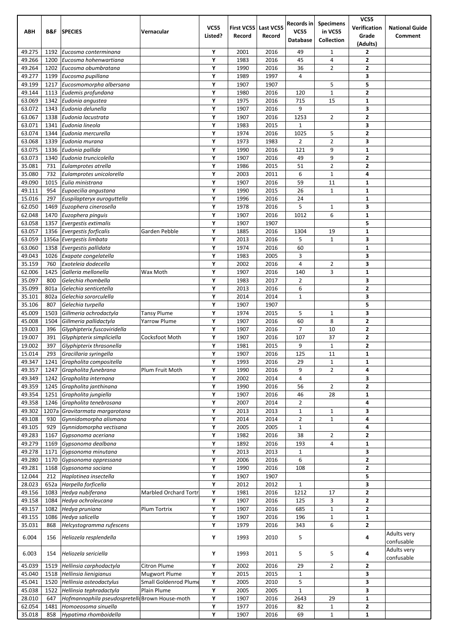| ABH              | B&F          | <b>SPECIES</b>                                     | Vernacular                   | <b>VC55</b><br>Listed? | <b>First VC55</b><br>Record | Last VC55<br>Record | Records in<br><b>VC55</b><br>Database | <b>Specimens</b><br>in VC55<br>Collection | <b>VC55</b><br>Verification<br>Grade<br>(Adults) | <b>National Guide</b><br>Comment |
|------------------|--------------|----------------------------------------------------|------------------------------|------------------------|-----------------------------|---------------------|---------------------------------------|-------------------------------------------|--------------------------------------------------|----------------------------------|
| 49.275           | 1192         | Eucosma conterminana                               |                              | Υ                      | 2001                        | 2016                | 49                                    | $\mathbf{1}$                              | $\mathbf{z}$                                     |                                  |
| 49.266           | 1200         | Eucosma hohenwartiana                              |                              | Υ                      | 1983                        | 2016                | 45                                    | 4                                         | 2                                                |                                  |
| 49.264           | 1202         | Eucosma obumbratana                                |                              | Υ                      | 1990                        | 2016                | 36                                    | 2                                         | $\mathbf{2}$                                     |                                  |
| 49.277           | 1199         | Eucosma pupillana                                  |                              | Y                      | 1989                        | 1997                | 4                                     |                                           | 3                                                |                                  |
| 49.199           | 1217         | Eucosmomorpha albersana                            |                              | Υ                      | 1907                        | 1907                |                                       | 5                                         | 5                                                |                                  |
| 49.144           | 1113         | Eudemis profundana                                 |                              | Υ                      | 1980                        | 2016                | 120                                   | $\mathbf{1}$                              | $\overline{\mathbf{2}}$                          |                                  |
| 63.069           | 1342         | Eudonia angustea                                   |                              | Υ                      | 1975                        | 2016                | 715                                   | 15                                        | 1                                                |                                  |
| 63.072           | 1343         | Eudonia delunella                                  |                              | Υ                      | 1907                        | 2016                | 9                                     |                                           | 3                                                |                                  |
| 63.067           |              | 1338 Eudonia lacustrata                            |                              | Υ                      | 1907                        | 2016                | 1253                                  | 2                                         | $\overline{\mathbf{2}}$                          |                                  |
| 63.071           | 1341         | Eudonia lineola                                    |                              | Υ                      | 1983                        | 2015                | $\mathbf{1}$                          |                                           | 3                                                |                                  |
| 63.074           | 1344         | Eudonia mercurella                                 |                              | Υ                      | 1974                        | 2016                | 1025                                  | 5                                         | $\overline{\mathbf{2}}$                          |                                  |
| 63.068           | 1339         | Eudonia murana                                     |                              | Υ                      | 1973                        | 1983                | 2                                     | 2                                         | 3                                                |                                  |
| 63.075           |              | 1336 Eudonia pallida                               |                              | Υ                      | 1990                        | 2016                | 121                                   | 9                                         | $\mathbf{1}$                                     |                                  |
| 63.073           | 1340         | Eudonia truncicolella                              |                              | Υ                      | 1907                        | 2016                | 49                                    | 9                                         | $\overline{\mathbf{2}}$                          |                                  |
| 35.081           | 731          | Eulamprotes atrella                                |                              | Υ                      | 1986                        | 2015                | 51                                    | $\overline{2}$                            | $\overline{\mathbf{2}}$                          |                                  |
| 35.080           | 732          | Eulamprotes unicolorella                           |                              | Υ                      | 2003                        | 2011                | 6                                     | $\mathbf{1}$                              | 4                                                |                                  |
| 49.090           | 1015         | Eulia ministrana                                   |                              | Υ<br>Υ                 | 1907                        | 2016                | 59<br>26                              | 11<br>$\mathbf{1}$                        | 1                                                |                                  |
| 49.111<br>15.016 | 954<br>297   | Eupoecilia angustana<br>Euspilapteryx auroquttella |                              | Υ                      | 1990<br>1996                | 2015<br>2016        | 24                                    |                                           | $\mathbf{1}$<br>$\mathbf{1}$                     |                                  |
| 62.050           | 1469         | Euzophera cinerosella                              |                              | Υ                      |                             |                     | 5                                     | 1                                         | 3                                                |                                  |
| 62.048           | 1470         | Euzophera pinguis                                  |                              | Υ                      | 1978<br>1907                | 2016<br>2016        | 1012                                  | 6                                         | $\mathbf{1}$                                     |                                  |
| 63.058           | 1357         | Evergestis extimalis                               |                              | Υ                      | 1907                        | 1907                |                                       |                                           | 5                                                |                                  |
| 63.057           |              | 1356 Evergestis forficalis                         | Garden Pebble                | Υ                      | 1885                        | 2016                | 1304                                  | 19                                        | $\mathbf{1}$                                     |                                  |
| 63.059           |              | 1356a Evergestis limbata                           |                              | Υ                      | 2013                        | 2016                | 5                                     | $\mathbf{1}$                              | 3                                                |                                  |
| 63.060           | 1358         | Evergestis pallidata                               |                              | Υ                      | 1974                        | 2016                | 60                                    |                                           | $\mathbf{1}$                                     |                                  |
| 49.043           | 1026         | Exapate congelatella                               |                              | Υ                      | 1983                        | 2005                | 3                                     |                                           | 3                                                |                                  |
| 35.159           | 760          | Exoteleia dodecella                                |                              | Υ                      | 2002                        | 2016                | 4                                     | 2                                         | 3                                                |                                  |
| 62.006           | 1425         | Galleria mellonella                                | Wax Moth                     | Υ                      | 1907                        | 2016                | 140                                   | 3                                         | $\mathbf{1}$                                     |                                  |
| 35.097           | 800          | Gelechia rhombella                                 |                              | Υ                      | 1983                        | 2017                | $\overline{2}$                        |                                           | 3                                                |                                  |
| 35.099           | 801a         | Gelechia senticetella                              |                              | Υ                      | 2013                        | 2016                | 6                                     |                                           | $\overline{\mathbf{2}}$                          |                                  |
| 35.101           | 802a         | Gelechia sororculella                              |                              | Υ                      | 2014                        | 2014                | $\mathbf{1}$                          |                                           | 3                                                |                                  |
| 35.106           | 807          | Gelechia turpella                                  |                              | Υ                      | 1907                        | 1907                |                                       |                                           | 5                                                |                                  |
| 45.009           | 1503         | Gillmeria ochrodactyla                             | <b>Tansy Plume</b>           | Υ                      | 1974                        | 2015                | 5                                     | 1                                         | 3                                                |                                  |
| 45.008           | 1504         | Gillmeria pallidactyla                             | <b>Yarrow Plume</b>          | Υ                      | 1907                        | 2016                | 60                                    | 8                                         | $\overline{\mathbf{2}}$                          |                                  |
| 19.003           | 396          | Glyphipterix fuscoviridella                        |                              | Υ                      | 1907                        | 2016                | 7                                     | 10                                        | $\overline{\mathbf{2}}$                          |                                  |
| 19.007           | 391          | Glyphipterix simpliciella                          | <b>Cocksfoot Moth</b>        | Υ                      | 1907                        | 2016                | 107                                   | 37                                        | $\overline{\mathbf{2}}$                          |                                  |
| 19.002           | 397          | Glyphipterix thrasonella                           |                              | Y                      | 1981                        | 2015                | 9                                     | $\mathbf{1}$                              | $\overline{2}$                                   |                                  |
| 15.014           | 293          | Gracillaria syringella                             |                              | Υ                      | 1907                        | 2016                | 125                                   | 11                                        | 1                                                |                                  |
| 49.347           | 1241         | Grapholita compositella                            |                              | Υ                      | 1993                        | 2016                | 29                                    | $\mathbf{1}$                              | $\mathbf{1}$                                     |                                  |
| 49.357           | 1247         | Grapholita funebrana                               | Plum Fruit Moth              | Υ                      | 1990                        | 2016                | 9                                     | $\overline{2}$                            | 4                                                |                                  |
| 49.349           | 1242         | Grapholita internana                               |                              | Υ                      | 2002                        | 2014                | 4                                     |                                           | 3                                                |                                  |
| 49.359           | 1245         | Grapholita janthinana                              |                              | Υ                      | 1990                        | 2016                | 56                                    | $\overline{2}$                            | $\mathbf{2}$                                     |                                  |
| 49.354           | 1251         | Grapholita jungiella                               |                              | Υ                      | 1907                        | 2016                | 46                                    | 28                                        | $\mathbf{1}$                                     |                                  |
| 49.358           | 1246         | Grapholita tenebrosana                             |                              | Υ                      | 2007                        | 2014                | $\overline{2}$                        |                                           | 4                                                |                                  |
| 49.302           |              | 1207a Gravitarmata margarotana                     |                              | Υ                      | 2013                        | 2013                | $\mathbf{1}$                          | 1                                         | 3                                                |                                  |
| 49.108           | 930          | Gynnidomorpha alismana                             |                              | Υ                      | 2014                        | 2014                | $\overline{2}$                        | $\mathbf{1}$                              | 4                                                |                                  |
| 49.105           | 929          | Gynnidomorpha vectisana                            |                              | Υ                      | 2005                        | 2005                | $\mathbf{1}$                          |                                           | 4                                                |                                  |
| 49.283           | 1167         | Gypsonoma aceriana                                 |                              | Υ                      | 1982                        | 2016                | 38                                    | 2                                         | $\mathbf{2}$                                     |                                  |
| 49.279           | 1169         | Gypsonoma dealbana                                 |                              | Υ                      | 1892                        | 2016                | 193                                   | 4                                         | $\mathbf 1$                                      |                                  |
| 49.278           | 1171         | Gypsonoma minutana                                 |                              | Υ                      | 2013                        | 2013                | $\mathbf{1}$                          |                                           | 3                                                |                                  |
| 49.280           | 1170         | Gypsonoma oppressana                               |                              | Υ                      | 2006                        | 2016                | 6                                     |                                           | $\mathbf{z}$                                     |                                  |
| 49.281           | 1168         | Gypsonoma sociana                                  |                              | Υ<br>Υ                 | 1990                        | 2016                | 108                                   |                                           | 2<br>5                                           |                                  |
| 12.044           | 212          | Haplotinea insectella                              |                              | Υ                      | 1907                        | 1907                |                                       |                                           | 3                                                |                                  |
| 28.023<br>49.156 | 652a<br>1083 | Harpella forficella<br>Hedya nubiferana            |                              | Υ                      | 2012                        | 2012                | $\mathbf{1}$<br>1212                  |                                           | $\overline{\mathbf{2}}$                          |                                  |
| 49.158           | 1084         | Hedya ochroleucana                                 | <b>Marbled Orchard Tortr</b> | Υ                      | 1981<br>1907                | 2016<br>2016        | 125                                   | 17<br>3                                   | $\mathbf{z}$                                     |                                  |
| 49.157           | 1082         | Hedya pruniana                                     |                              | Υ                      | 1907                        | 2016                | 685                                   |                                           | 2                                                |                                  |
| 49.155           | 1086         | Hedya salicella                                    | Plum Tortrix                 | Υ                      | 1907                        | 2016                | 196                                   | $\mathbf{1}$<br>$\mathbf{1}$              | $\mathbf 1$                                      |                                  |
| 35.031           | 868          | Helcystogramma rufescens                           |                              | Υ                      | 1979                        | 2016                | 343                                   | 6                                         | $\overline{\mathbf{2}}$                          |                                  |
| 6.004            | 156          | Heliozela resplendella                             |                              | Υ                      | 1993                        | 2010                | 5                                     |                                           | 4                                                | Adults very<br>confusable        |
| 6.003            | 154          | Heliozela sericiella                               |                              | Υ                      | 1993                        | 2011                | 5                                     | 5                                         | 4                                                | Adults very                      |
| 45.039           | 1519         | Hellinsia carphodactyla                            | <b>Citron Plume</b>          | Υ                      | 2002                        | 2016                | 29                                    | $\overline{2}$                            | 2                                                | confusable                       |
| 45.040           | 1518         | Hellinsia lienigianus                              | Mugwort Plume                | Υ                      | 2015                        | 2015                | $\mathbf{1}$                          |                                           | 3                                                |                                  |
| 45.041           | 1520         | Hellinsia osteodactylus                            | Small Goldenrod Plume        | Υ                      | 2005                        | 2010                | 5                                     |                                           | 3                                                |                                  |
| 45.038           | 1522         | Hellinsia tephradactyla                            | Plain Plume                  | Υ                      | 2005                        | 2005                | $\mathbf{1}$                          |                                           | 3                                                |                                  |
| 28.010           | 647          | Hofmannophila pseudospretello Brown House-moth     |                              | Υ                      | 1907                        | 2016                | 2643                                  | 29                                        | 1                                                |                                  |
| 62.054           | 1481         | Homoeosoma sinuella                                |                              | Υ                      | 1977                        | 2016                | 82                                    | $\mathbf{1}$                              | $\overline{\mathbf{c}}$                          |                                  |
| 35.018           | 858          | Hypatima rhomboidella                              |                              | Υ                      | 1907                        | 2016                | 69                                    | $\mathbf 1$                               | $\mathbf{1}$                                     |                                  |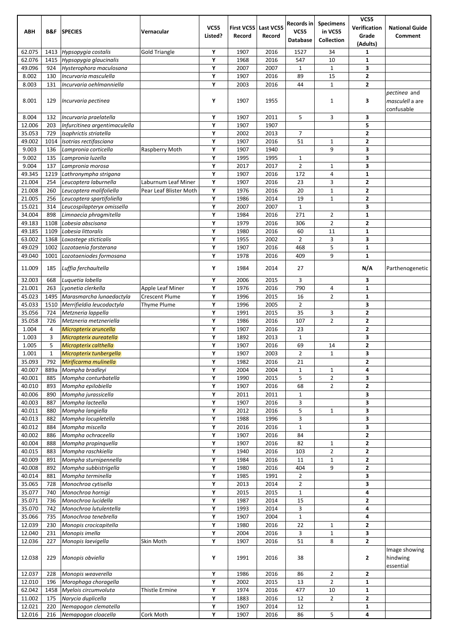|                  |                |                                                |                        |                        |                                |              | Records in            | <b>Specimens</b>                 | <b>VC55</b>                  |                                        |
|------------------|----------------|------------------------------------------------|------------------------|------------------------|--------------------------------|--------------|-----------------------|----------------------------------|------------------------------|----------------------------------------|
| ABH              | B&F            | <b>SPECIES</b>                                 | Vernacular             | <b>VC55</b><br>Listed? | First VC55 Last VC55<br>Record | Record       | <b>VC55</b>           | in VC55                          | Verification<br>Grade        | <b>National Guide</b><br>Comment       |
|                  |                |                                                |                        |                        |                                |              | <b>Database</b>       | Collection                       | (Adults)                     |                                        |
| 62.075           | 1413           | Hypsopygia costalis                            | <b>Gold Triangle</b>   | Y                      | 1907                           | 2016         | 1527                  | 34                               | 1                            |                                        |
| 62.076           | 1415           | Hypsopygia glaucinalis                         |                        | Y                      | 1968                           | 2016         | 547                   | 10                               | 1                            |                                        |
| 49.096           | 924            | Hysterophora maculosana                        |                        | Y                      | 2007                           | 2007         | $\mathbf{1}$          | $\mathbf{1}$                     | 3                            |                                        |
| 8.002            | 130            | Incurvaria masculella                          |                        | Υ                      | 1907                           | 2016         | 89                    | 15                               | 2                            |                                        |
| 8.003            | 131            | Incurvaria oehlmanniella                       |                        | Y                      | 2003                           | 2016         | 44                    | $\mathbf{1}$                     | 2                            |                                        |
| 8.001            |                |                                                |                        | Y                      | 1907                           | 1955         |                       | 1                                | 3                            | pectinea and<br>masculell a are        |
|                  | 129            | Incurvaria pectinea                            |                        |                        |                                |              |                       |                                  |                              | confusable                             |
| 8.004            | 132            | Incurvaria praelatella                         |                        | Υ                      | 1907                           | 2011         | 5                     | 3                                | 3                            |                                        |
| 12.006           | 203            | Infurcitinea argentimaculella                  |                        | Y                      | 1907                           | 1907         |                       |                                  | 5                            |                                        |
| 35.053           | 729            | Isophrictis striatella                         |                        | Υ                      | 2002                           | 2013         | $\overline{7}$        |                                  | 2                            |                                        |
| 49.002           | 1014           | Isotrias rectifasciana                         |                        | Y                      | 1907                           | 2016         | 51                    | $\mathbf{1}$                     | 2                            |                                        |
| 9.003            | 136            | Lampronia corticella                           | Raspberry Moth         | Y                      | 1907                           | 1940         |                       | 9                                | 3                            |                                        |
| 9.002            | 135            | Lampronia luzella                              |                        | Y                      | 1995                           | 1995         | 1                     |                                  | 3                            |                                        |
| 9.004<br>49.345  | 137<br>1219    | Lampronia morosa<br>Lathronympha strigana      |                        | Y<br>Y                 | 2017<br>1907                   | 2017<br>2016 | $\overline{2}$<br>172 | $\mathbf{1}$<br>4                | 3<br>1                       |                                        |
| 21.004           | 254            | Leucoptera laburnella                          | Laburnum Leaf Miner    | Y                      | 1907                           | 2016         | 23                    | 3                                | 2                            |                                        |
| 21.008           | 260            | Leucoptera malifoliella                        | Pear Leaf Blister Moth | Y                      | 1976                           | 2016         | 20                    | $\mathbf{1}$                     | $\overline{2}$               |                                        |
| 21.005           | 256            | Leucoptera spartifoliella                      |                        | Y                      | 1986                           | 2014         | 19                    | $\mathbf{1}$                     | 2                            |                                        |
| 15.021           | 314            | Leucospilapteryx omissella                     |                        | Y                      | 2007                           | 2007         | $\mathbf{1}$          |                                  | 3                            |                                        |
| 34.004           | 898            | Limnaecia phragmitella                         |                        | Υ                      | 1984                           | 2016         | 271                   | $\overline{2}$                   | 1                            |                                        |
| 49.183           | 1108           | Lobesia abscisana                              |                        | Y                      | 1979                           | 2016         | 306                   | $\overline{2}$                   | 2                            |                                        |
| 49.185           | 1109           | Lobesia littoralis                             |                        | Y                      | 1980                           | 2016         | 60                    | 11                               | 1                            |                                        |
| 63.002<br>49.029 | 1368<br>1002   | Loxostege sticticalis<br>Lozotaenia forsterana |                        | Υ<br>Y                 | 1955<br>1907                   | 2002<br>2016 | $\overline{2}$<br>468 | 3<br>5                           | 3<br>1                       |                                        |
| 49.040           | 1001           | Lozotaeniodes formosana                        |                        | Y                      | 1978                           | 2016         | 409                   | 9                                | $\mathbf{1}$                 |                                        |
|                  |                |                                                |                        |                        |                                |              |                       |                                  |                              |                                        |
| 11.009           | 185            | Luffia ferchaultella                           |                        | Y                      | 1984                           | 2014         | 27                    |                                  | N/A                          | Parthenogenetic                        |
| 32.003           | 668            | Luquetia lobella                               |                        | Υ                      | 2006                           | 2015         | 3                     |                                  | 3                            |                                        |
| 21.001           | 263            | Lyonetia clerkella                             | Apple Leaf Miner       | Y                      | 1976                           | 2016         | 790                   | 4                                | $\mathbf{1}$                 |                                        |
| 45.023           | 1495           | Marasmarcha lunaedactyla                       | <b>Crescent Plume</b>  | Y                      | 1996                           | 2015         | 16                    | $\overline{2}$                   | 1                            |                                        |
| 45.033           | 1510           | Merrifieldia leucodactyla                      | Thyme Plume            | Y                      | 1996                           | 2005         | $\overline{2}$        |                                  | 3                            |                                        |
| 35.056<br>35.058 | 724<br>726     | Metzneria lappella<br>Metzneria metzneriella   |                        | Y<br>Y                 | 1991<br>1986                   | 2015<br>2016 | 35<br>107             | 3<br>$\overline{2}$              | 2<br>2                       |                                        |
| 1.004            | $\overline{a}$ | Micropterix aruncella                          |                        | Y                      | 1907                           | 2016         | 23                    |                                  | $\mathbf{2}$                 |                                        |
| 1.003            | 3              | Micropterix aureatella                         |                        | Υ                      | 1892                           | 2013         | $\mathbf 1$           |                                  | 3                            |                                        |
| 1.005            | 5              | Micropterix calthella                          |                        | Y                      | 1907                           | 2016         | 69                    | 14                               | 2                            |                                        |
| 1.001            | $\mathbf{1}$   | Micropterix tunbergella                        |                        | Υ                      | 1907                           | 2003         | $\overline{2}$        | $\mathbf 1$                      | 3                            |                                        |
| 35.093           | 792            | Mirificarma mulinella                          |                        | Υ                      | 1982                           | 2016         | 21                    |                                  | 2                            |                                        |
| 40.007           | 889a           | Mompha bradleyi                                |                        | Υ                      | 2004                           | 2004         | $\mathbf{1}$          | $\mathbf{1}$                     | 4                            |                                        |
| 40.001<br>40.010 | 885<br>893     | Mompha conturbatella                           |                        | Υ<br>Y                 | 1990<br>1907                   | 2015<br>2016 | 5<br>68               | $\overline{2}$<br>$\overline{2}$ | 3<br>$\overline{\mathbf{c}}$ |                                        |
| 40.006           | 890            | Mompha epilobiella<br>Mompha jurassicella      |                        | Υ                      | 2011                           | 2011         | $1\,$                 |                                  | 3                            |                                        |
| 40.003           | 887            | Mompha lacteella                               |                        | Υ                      | 1907                           | 2016         | 3                     |                                  | 3                            |                                        |
| 40.011           | 880            | Mompha langiella                               |                        | Υ                      | 2012                           | 2016         | 5                     | $\mathbf{1}$                     | 3                            |                                        |
| 40.013           | 882            | Mompha locupletella                            |                        | Υ                      | 1988                           | 1996         | 3                     |                                  | 3                            |                                        |
| 40.012           | 884            | Mompha miscella                                |                        | Y                      | 2016                           | 2016         | $\mathbf 1$           |                                  | 3                            |                                        |
| 40.002           | 886            | Mompha ochraceella                             |                        | Υ                      | 1907                           | 2016         | 84                    |                                  | 2                            |                                        |
| 40.004<br>40.015 | 888            | Mompha propinquella                            |                        | Υ<br>Υ                 | 1907                           | 2016         | 82                    | $\mathbf{1}$<br>$\overline{2}$   | 2<br>2                       |                                        |
| 40.009           | 883<br>891     | Mompha raschkiella<br>Mompha sturnipennella    |                        | Υ                      | 1940<br>1984                   | 2016<br>2016 | 103<br>11             | $\mathbf{1}$                     | 2                            |                                        |
| 40.008           | 892            | Mompha subbistrigella                          |                        | Y                      | 1980                           | 2016         | 404                   | 9                                | $\overline{\mathbf{c}}$      |                                        |
| 40.014           | 881            | Mompha terminella                              |                        | Υ                      | 1985                           | 1991         | $\overline{2}$        |                                  | 3                            |                                        |
| 35.065           | 728            | Monochroa cytisella                            |                        | Υ                      | 2013                           | 2014         | $\overline{2}$        |                                  | 3                            |                                        |
| 35.077           | 740            | Monochroa hornigi                              |                        | Υ                      | 2015                           | 2015         | $1\,$                 |                                  | 4                            |                                        |
| 35.071           | 736            | Monochroa lucidella                            |                        | Υ                      | 1987                           | 2014         | 15                    |                                  | 2                            |                                        |
| 35.070           | 742            | Monochroa lutulentella                         |                        | Y                      | 1993                           | 2014         | 3                     |                                  | 4                            |                                        |
| 35.066           | 735            | Monochroa tenebrella                           |                        | Υ                      | 1907                           | 2004         | $\mathbf{1}$          |                                  | 4                            |                                        |
| 12.039<br>12.040 | 230<br>231     | Monopis crocicapitella<br>Monopis imella       |                        | Υ<br>Υ                 | 1980<br>2004                   | 2016<br>2016 | 22<br>3               | 1<br>$\mathbf{1}$                | 2<br>3                       |                                        |
| 12.036           | 227            | Monopis laevigella                             | Skin Moth              | Y                      | 1907                           | 2016         | 51                    | 8                                | $\overline{\mathbf{c}}$      |                                        |
| 12.038           | 229            | Monopis obviella                               |                        | Υ                      | 1991                           | 2016         | 38                    |                                  | 2                            | Image showing<br>hindwing<br>essential |
| 12.037           | 228            | Monopis weaverella                             |                        | Υ                      | 1986                           | 2016         | 86                    | $\overline{2}$                   | 2                            |                                        |
| 12.010           | 196            | Morophaga choragella                           |                        | Y                      | 2002                           | 2015         | 13                    | $\overline{2}$                   | 1                            |                                        |
| 62.042           | 1458           | Myelois circumvoluta                           | Thistle Ermine         | Υ                      | 1974                           | 2016         | 477                   | 10                               | $\mathbf{1}$                 |                                        |
| 11.002           | 175            | Narycia duplicella                             |                        | Υ                      | 1883                           | 2016         | 12                    | $\overline{2}$                   | $\mathbf{2}$                 |                                        |
| 12.021           | 220            | Nemapogon clematella                           |                        | Υ                      | 1907                           | 2014         | 12                    |                                  | 1                            |                                        |
| 12.016           | 216            | Nemapogon cloacella                            | Cork Moth              | Υ                      | 1907                           | 2016         | 86                    | 5                                | 4                            |                                        |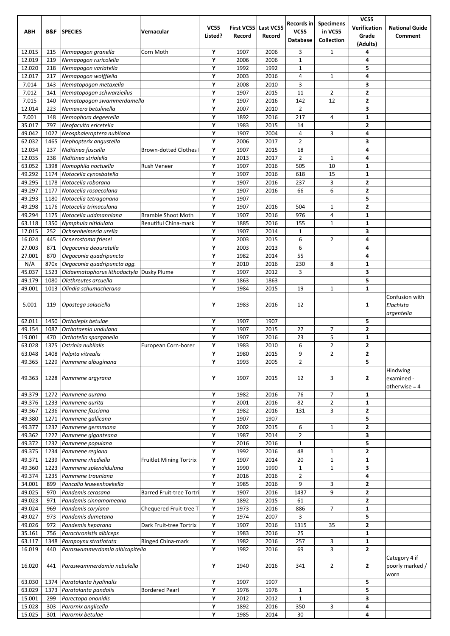|                  |              |                                               |                                 |                        |                             |                     | Records in         | <b>Specimens</b>             | <b>VC55</b>                             |                                           |
|------------------|--------------|-----------------------------------------------|---------------------------------|------------------------|-----------------------------|---------------------|--------------------|------------------------------|-----------------------------------------|-------------------------------------------|
| <b>ABH</b>       | B&F          | <b>SPECIES</b>                                | Vernacular                      | <b>VC55</b><br>Listed? | <b>First VC55</b><br>Record | Last VC55<br>Record | <b>VC55</b>        | in VC55                      | Verification<br>Grade                   | <b>National Guide</b><br>Comment          |
|                  |              |                                               |                                 |                        |                             |                     | Database           | Collection                   | (Adults)                                |                                           |
| 12.015           | 215          | Nemapogon granella                            | Corn Moth                       | Υ                      | 1907                        | 2006                | 3                  | $\mathbf{1}$                 | 4                                       |                                           |
| 12.019           | 219          | Nemapogon ruricolella                         |                                 | Υ                      | 2006                        | 2006                | $\mathbf{1}$       |                              | 4                                       |                                           |
| 12.020<br>12.017 | 218<br>217   | Nemapogon variatella<br>Nemapogon wolffiella  |                                 | Υ<br>Υ                 | 1992<br>2003                | 1992<br>2016        | $\mathbf{1}$<br>4  | $\mathbf{1}$                 | 5<br>4                                  |                                           |
| 7.014            | 143          | Nematopogon metaxella                         |                                 | Υ                      | 2008                        | 2010                | 3                  |                              | 3                                       |                                           |
| 7.012            | 141          | Nematopogon schwarziellus                     |                                 | Υ                      | 1907                        | 2015                | 11                 | $\overline{2}$               | $\overline{\mathbf{2}}$                 |                                           |
| 7.015            | 140          | Nematopogon swammerdamella                    |                                 | Υ                      | 1907                        | 2016                | 142                | 12                           | $\overline{2}$                          |                                           |
| 12.014           | 223          | Nemaxera betulinella                          |                                 | Υ                      | 2007                        | 2010                | $\overline{2}$     |                              | 3                                       |                                           |
| 7.001<br>35.017  | 148<br>797   | Nemophora degeerella<br>Neofaculta ericetella |                                 | Υ<br>Υ                 | 1892<br>1983                | 2016<br>2015        | 217<br>14          | 4                            | $\mathbf 1$<br>$\overline{\mathbf{2}}$  |                                           |
| 49.042           | 1027         | Neosphaleroptera nubilana                     |                                 | Υ                      | 1907                        | 2004                | 4                  | 3                            | 4                                       |                                           |
| 62.032           | 1465         | Nephopterix angustella                        |                                 | Υ                      | 2006                        | 2017                | $\overline{2}$     |                              | 3                                       |                                           |
| 12.034           | 237          | Niditinea fuscella                            | <b>Brown-dotted Clothes</b>     | Υ                      | 1907                        | 2015                | 18                 |                              | 4                                       |                                           |
| 12.035           | 238          | Niditinea striolella                          |                                 | Υ                      | 2013                        | 2017                | $\overline{2}$     | $\mathbf{1}$                 | 4                                       |                                           |
| 63.052<br>49.292 | 1398         | Nomophila noctuella                           | Rush Veneer                     | Υ                      | 1907                        | 2016                | 505<br>618         | 10<br>15                     | $\mathbf{1}$                            |                                           |
| 49.295           | 1174<br>1178 | Notocelia cynosbatella<br>Notocelia roborana  |                                 | Υ<br>Υ                 | 1907<br>1907                | 2016<br>2016        | 237                | 3                            | $\mathbf{1}$<br>$\overline{\mathbf{2}}$ |                                           |
| 49.297           | 1177         | Notocelia rosaecolana                         |                                 | Υ                      | 1907                        | 2016                | 66                 | 6                            | $\overline{\mathbf{2}}$                 |                                           |
| 49.293           | 1180         | Notocelia tetragonana                         |                                 | Υ                      | 1907                        |                     |                    |                              | 5                                       |                                           |
| 49.298           | 1176         | Notocelia trimaculana                         |                                 | Υ                      | 1907                        | 2016                | 504                | $\mathbf{1}$                 | $\overline{\mathbf{2}}$                 |                                           |
| 49.294           | 1175         | Notocelia uddmanniana                         | <b>Bramble Shoot Moth</b>       | Υ                      | 1907                        | 2016                | 976                | 4                            | $\mathbf{1}$                            |                                           |
| 63.118<br>17.015 | 1350<br>252  | Nymphula nitidulata                           | <b>Beautiful China-mark</b>     | Υ<br>Υ                 | 1885                        | 2016<br>2014        | 155                | $\mathbf{1}$                 | 1<br>3                                  |                                           |
| 16.024           | 445          | Ochsenheimeria urella<br>Ocnerostoma friesei  |                                 | Υ                      | 1907<br>2003                | 2015                | $\mathbf{1}$<br>6  | $\overline{2}$               | 4                                       |                                           |
| 27.003           | 871          | Oegoconia deauratella                         |                                 | Υ                      | 2003                        | 2013                | 6                  |                              | 4                                       |                                           |
| 27.001           | 870          | Oegoconia quadripuncta                        |                                 | Υ                      | 1982                        | 2014                | 55                 |                              | 4                                       |                                           |
| N/A              | 870x         | Oegoconia quadripuncta agg.                   |                                 | Υ                      | 2010                        | 2016                | 230                | 8                            | 1                                       |                                           |
| 45.037           | 1523         | Oidaematophorus lithodactyla Dusky Plume      |                                 | Υ                      | 1907                        | 2012                | 3                  |                              | 3                                       |                                           |
| 49.179<br>49.001 | 1080<br>1013 | Olethreutes arcuella<br>Olindia schumacherana |                                 | Υ<br>Υ                 | 1863<br>1984                | 1863                | 19                 | $\mathbf{1}$                 | 5<br>$\mathbf{1}$                       |                                           |
|                  |              |                                               |                                 |                        |                             | 2015                |                    |                              |                                         | Confusion with                            |
| 5.001            | 119          | Opostega salaciella                           |                                 | Υ                      | 1983                        | 2016                | 12                 |                              | 1                                       | Elachista<br>argentella                   |
| 62.011<br>49.154 | 1450<br>1087 | Ortholepis betulae<br>Orthotaenia undulana    |                                 | Υ<br>Υ                 | 1907<br>1907                | 1907                | 27                 | 7                            | 5<br>$\overline{\mathbf{2}}$            |                                           |
| 19.001           | 470          | Orthotelia sparganella                        |                                 | Υ                      | 1907                        | 2015<br>2016        | 23                 | 5                            | $\mathbf 1$                             |                                           |
| 63.028           | 1375         | Ostrinia nubilalis                            | European Corn-borer             | Υ                      | 1983                        | 2010                | 6                  | $\overline{2}$               | $\overline{2}$                          |                                           |
| 63.048           | 1408         | Palpita vitrealis                             |                                 | Υ                      | 1980                        | 2015                | 9                  | $\overline{2}$               | $\mathbf{2}$                            |                                           |
| 49.365           | 1229         | Pammene albuginana                            |                                 | Υ                      | 1993                        | 2005                | $\overline{2}$     |                              | 5                                       |                                           |
| 49.363           | 1228         | Pammene argyrana                              |                                 | Υ                      | 1907                        | 2015                | 12                 | 3                            | $\mathbf{2}$                            | Hindwing<br>examined -<br>otherwise $= 4$ |
| 49.379           | 1272         | Pammene aurana                                |                                 | Υ                      | 1982                        | 2016                | 76                 | 7                            | 1                                       |                                           |
| 49.376           | 1233         | Pammene aurita                                |                                 | Υ                      | 2001                        | 2016                | 82                 | $\overline{2}$               | $\mathbf{1}$                            |                                           |
| 49.367<br>49.380 | 1236<br>1271 | Pammene fasciana<br>Pammene gallicana         |                                 | Υ<br>Υ                 | 1982<br>1907                | 2016<br>1907        | 131                | 3                            | $\overline{2}$<br>5                     |                                           |
| 49.377           | 1237         | Pammene germmana                              |                                 | Υ                      | 2002                        | 2015                | 6                  | $\mathbf{1}$                 | $\mathbf{2}$                            |                                           |
| 49.362           | 1227         | Pammene giganteana                            |                                 | Υ                      | 1987                        | 2014                | $\overline{2}$     |                              | 3                                       |                                           |
| 49.372           | 1232         | Pammene populana                              |                                 | Υ                      | 2016                        | 2016                | $\mathbf{1}$       |                              | 5                                       |                                           |
| 49.375           | 1234         | Pammene regiana                               |                                 | Υ                      | 1992                        | 2016                | 48                 | $\mathbf{1}$                 | $\overline{\mathbf{2}}$                 |                                           |
| 49.371<br>49.360 | 1239<br>1223 | Pammene rhediella<br>Pammene splendidulana    | <b>Fruitlet Mining Tortrix</b>  | Υ<br>Υ                 | 1907<br>1990                | 2014<br>1990        | 20<br>$\mathbf{1}$ | $\mathbf{1}$<br>$\mathbf{1}$ | $\mathbf 1$<br>3                        |                                           |
| 49.374           | 1235         | Pammene trauniana                             |                                 | Υ                      | 2016                        | 2016                | $\overline{2}$     |                              | 4                                       |                                           |
| 34.001           | 899          | Pancalia leuwenhoekella                       |                                 | Υ                      | 1985                        | 2016                | 9                  | 3                            | $\overline{2}$                          |                                           |
| 49.025           | 970          | Pandemis cerasana                             | <b>Barred Fruit-tree Tortri</b> | Υ                      | 1907                        | 2016                | 1437               | 9                            | $\overline{\mathbf{2}}$                 |                                           |
| 49.023           | 971          | Pandemis cinnamomeana                         |                                 | Υ                      | 1892                        | 2015                | 61                 |                              | $\mathbf{2}$                            |                                           |
| 49.024           | 969          | Pandemis corylana                             | Chequered Fruit-tree T          | Υ                      | 1973                        | 2016                | 886                | 7                            | 1                                       |                                           |
| 49.027<br>49.026 | 973<br>972   | Pandemis dumetana                             |                                 | Υ<br>Υ                 | 1974<br>1907                | 2007<br>2016        | 3<br>1315          | 35                           | 5<br>$\overline{\mathbf{2}}$            |                                           |
| 35.161           | 756          | Pandemis heparana<br>Parachronistis albiceps  | Dark Fruit-tree Tortrix         | Υ                      | 1983                        | 2016                | 25                 |                              | $\mathbf 1$                             |                                           |
| 63.117           | 1348         | Parapoynx stratiotata                         | Ringed China-mark               | Υ                      | 1982                        | 2016                | 257                | 3                            | $\mathbf{1}$                            |                                           |
| 16.019           | 440          | Paraswammerdamia albicapitella                |                                 | Υ                      | 1982                        | 2016                | 69                 | 3                            | $\overline{\mathbf{2}}$                 |                                           |
| 16.020           | 441          | Paraswammerdamia nebulella                    |                                 | Υ                      | 1940                        | 2016                | 341                | $\overline{2}$               | $\mathbf{2}$                            | Category 4 if<br>poorly marked /<br>worn  |
| 63.030           | 1374         | Paratalanta hyalinalis                        |                                 | Υ                      | 1907                        | 1907                |                    |                              | 5                                       |                                           |
| 63.029           | 1373         | Paratalanta pandalis                          | <b>Bordered Pearl</b>           | Υ                      | 1976                        | 1976                | $\mathbf{1}$       |                              | 5                                       |                                           |
| 15.001           | 299          | Parectopa ononidis                            |                                 | Υ                      | 2012                        | 2012                | $\mathbf{1}$       |                              | 3                                       |                                           |
| 15.028<br>15.025 | 303<br>301   | Parornix anglicella<br>Parornix betulae       |                                 | Υ<br>Υ                 | 1892<br>1985                | 2016<br>2014        | 350<br>30          | 3                            | 4<br>4                                  |                                           |
|                  |              |                                               |                                 |                        |                             |                     |                    |                              |                                         |                                           |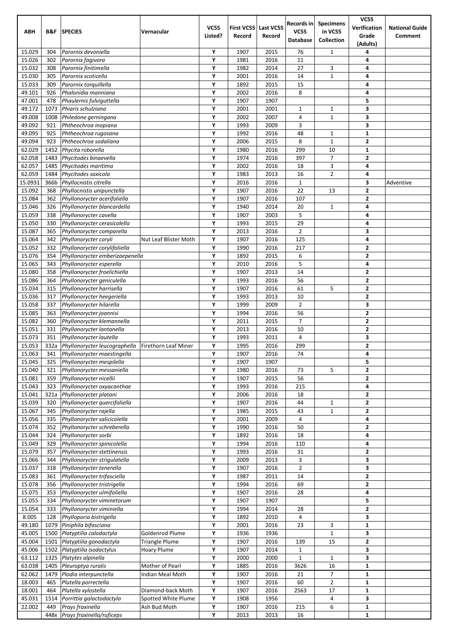|                  |              |                                                             |                                          |             |              |              | Records in           | <b>Specimens</b>    | <b>VC55</b>             |                                  |
|------------------|--------------|-------------------------------------------------------------|------------------------------------------|-------------|--------------|--------------|----------------------|---------------------|-------------------------|----------------------------------|
| <b>ABH</b>       | B&F          | <b>SPECIES</b>                                              | Vernacular                               | <b>VC55</b> | First VC55   | Last VC55    | <b>VC55</b>          | in VC55             | Verification            | <b>National Guide</b><br>Comment |
|                  |              |                                                             |                                          | Listed?     | Record       | Record       | <b>Database</b>      | Collection          | Grade<br>(Adults)       |                                  |
| 15.029           | 304          | Parornix devoniella                                         |                                          | Υ           | 1907         | 2015         | 76                   | 1                   | 4                       |                                  |
| 15.026           | 302          | Parornix fagivora                                           |                                          | Y           | 1981         | 2016         | 11                   |                     | 4                       |                                  |
| 15.032           | 308          | Parornix finitimella                                        |                                          | Υ           | 1982         | 2014         | 27                   | 3                   | 4                       |                                  |
| 15.030           | 305          | Parornix scoticella                                         |                                          | Υ           | 2001         | 2016         | 14                   | $\mathbf{1}$        | 4                       |                                  |
| 15.033           | 309          | Parornix torquillella                                       |                                          | Υ           | 1892         | 2015         | 15                   |                     | 4                       |                                  |
| 49.101<br>47.001 | 926<br>478   | Phalonidia manniana<br>Phaulernis fulviguttella             |                                          | Y<br>Υ      | 2002<br>1907 | 2016<br>1907 | 8                    |                     | 4<br>5                  |                                  |
| 49.172           | 1073         | Phiaris schulziana                                          |                                          | Υ           | 2001         | 2001         | $\mathbf{1}$         | $\mathbf{1}$        | 3                       |                                  |
| 49.008           | 1008         | Philedone gerningana                                        |                                          | Υ           | 2002         | 2007         | 4                    | $\mathbf{1}$        | 3                       |                                  |
| 49.092           | 921          | Phtheochroa inopiana                                        |                                          | Υ           | 1993         | 2009         | 3                    |                     | 3                       |                                  |
| 49.095           | 925          | Phtheochroa rugosana                                        |                                          | Y           | 1992         | 2016         | 48                   | $\mathbf{1}$        | $\mathbf{1}$            |                                  |
| 49.094           | 923          | Phtheochroa sodaliana                                       |                                          | Υ           | 2006         | 2015         | 8                    | $\mathbf 1$         | $\mathbf{2}$            |                                  |
| 62.029           | 1452         | Phycita roborella                                           |                                          | Υ           | 1980         | 2016         | 299                  | 10                  | $\mathbf{1}$            |                                  |
| 62.058           | 1483         | Phycitodes binaevella                                       |                                          | Υ           | 1974         | 2016         | 397                  | $\overline{7}$      | $\mathbf{2}$            |                                  |
| 62.057<br>62.059 | 1485<br>1484 | Phycitodes maritima<br>Phycitodes saxicola                  |                                          | Υ<br>Υ      | 2002<br>1983 | 2016<br>2013 | 18<br>16             | 3<br>$\overline{2}$ | 4<br>4                  |                                  |
| 15.0931          | 366b         | Phyllocnistis citrella                                      |                                          | Υ           | 2016         | 2016         | $1\,$                |                     | 3                       | Adventive                        |
| 15.092           | 368          | Phyllocnistis unipunctella                                  |                                          | Υ           | 1907         | 2016         | 22                   | 13                  | $\mathbf{2}$            |                                  |
| 15.084           | 362          | Phyllonorycter acerifoliella                                |                                          | Υ           | 1907         | 2016         | 107                  |                     | $\mathbf{2}$            |                                  |
| 15.046           | 326          | Phyllonorycter blancardella                                 |                                          | Υ           | 1940         | 2014         | 20                   | $\mathbf{1}$        | 4                       |                                  |
| 15.059           | 338          | Phyllonorycter cavella                                      |                                          | Υ           | 1907         | 2003         | 5                    |                     | 4                       |                                  |
| 15.050           | 330          | Phyllonorycter cerasicolella                                |                                          | Υ           | 1993         | 2015         | 29                   |                     | 4                       |                                  |
| 15.087           | 365          | Phyllonorycter comparella                                   |                                          | Υ           | 2013         | 2016         | $\overline{2}$       |                     | 3                       |                                  |
| 15.064<br>15.052 | 342<br>332   | Phyllonorycter coryli<br>Phyllonorycter corylifoliella      | Nut Leaf Blister Moth                    | Υ<br>Υ      | 1907<br>1990 | 2016<br>2016 | 125<br>217           |                     | 4<br>2                  |                                  |
| 15.076           | 354          | Phyllonorycter emberizaepenella                             |                                          | Υ           | 1892         | 2015         | 6                    |                     | $\overline{2}$          |                                  |
| 15.065           | 343          | Phyllonorycter esperella                                    |                                          | Y           | 2010         | 2016         | 5                    |                     | 4                       |                                  |
| 15.080           | 358          | Phyllonorycter froelichiella                                |                                          | Υ           | 1907         | 2013         | 14                   |                     | $\mathbf{2}$            |                                  |
| 15.086           | 364          | Phyllonorycter geniculella                                  |                                          | Υ           | 1993         | 2016         | 56                   |                     | $\mathbf{2}$            |                                  |
| 15.034           | 315          | Phyllonorycter harrisella                                   |                                          | Υ           | 1907         | 2016         | 61                   | 5                   | $\mathbf{2}$            |                                  |
| 15.036           | 317          | Phyllonorycter heegeriella                                  |                                          | Υ           | 1993         | 2013         | 10                   |                     | $\overline{2}$          |                                  |
| 15.058<br>15.085 | 337          | Phyllonorycter hilarella                                    |                                          | Y<br>Υ      | 1999         | 2009         | $\overline{2}$<br>56 |                     | 3                       |                                  |
| 15.082           | 363<br>360   | Phyllonorycter joannisi<br>Phyllonorycter klemannella       |                                          | Υ           | 1994<br>2011 | 2016<br>2015 | 7                    |                     | 2<br>$\mathbf{2}$       |                                  |
| 15.051           | 331          | Phyllonorycter lantanella                                   |                                          | Υ           | 2013         | 2016         | 10                   |                     | $\mathbf{2}$            |                                  |
| 15.073           | 351          | Phyllonorycter lautella                                     |                                          | Υ           | 1993         | 2011         | 4                    |                     | 3                       |                                  |
| 15.053           | 332a         | Phyllonorycter leucographella                               | Firethorn Leaf Miner                     | Υ           | 1995         | 2016         | 299                  |                     | $\overline{\mathbf{2}}$ |                                  |
| 15.063           | 341          | Phyllonorycter maestingella                                 |                                          | Υ           | 1907         | 2016         | 74                   |                     | 4                       |                                  |
| 15.045           | 325          | Phyllonorycter mespilella                                   |                                          | Υ           | 1907         | 1907         |                      |                     | 5                       |                                  |
| 15.040           | 321          | Phyllonorycter messaniella                                  |                                          | Υ           | 1980         | 2016         | 73                   | 5                   | $\mathbf{2}$            |                                  |
| 15.081<br>15.043 | 359<br>323   | Phyllonorycter nicellii<br>Phyllonorycter oxyacanthae       |                                          | Υ<br>Υ      | 1907<br>1993 | 2015<br>2016 | 56<br>215            |                     | $\mathbf{2}$<br>4       |                                  |
| 15.041           | 321a         | Phyllonorycter platani                                      |                                          | Υ           | 2006         | 2016         | 18                   |                     | 2                       |                                  |
| 15.039           | 320          | Phyllonorycter quercifoliella                               |                                          | Υ           | 1907         | 2016         | 44                   | $\mathbf{1}$        | $\mathbf{2}$            |                                  |
| 15.067           | 345          | Phyllonorycter rajella                                      |                                          | Υ           | 1985         | 2015         | 43                   | $\mathbf{1}$        | 2                       |                                  |
| 15.056           | 335          | Phyllonorycter salicicolella                                |                                          | Υ           | 2001         | 2009         | 4                    |                     | 4                       |                                  |
| 15.074           | 352          | Phyllonorycter schreberella                                 |                                          | Υ           | 1990         | 2016         | 50                   |                     | $\overline{\mathbf{2}}$ |                                  |
| 15.044           | 324          | Phyllonorycter sorbi                                        |                                          | Υ           | 1892         | 2016         | 18                   |                     | 4                       |                                  |
| 15.049<br>15.079 | 329          | Phyllonorycter spinicolella                                 |                                          | Υ           | 1994         | 2016         | 110<br>31            |                     | 4                       |                                  |
| 15.066           | 357<br>344   | Phyllonorycter stettinensis<br>Phyllonorycter strigulatella |                                          | Υ<br>Υ      | 1993<br>2009 | 2016<br>2013 | 3                    |                     | 2<br>3                  |                                  |
| 15.037           | 318          | Phyllonorycter tenerella                                    |                                          | Υ           | 1907         | 2016         | $\overline{2}$       |                     | 3                       |                                  |
| 15.083           | 361          | Phyllonorycter trifasciella                                 |                                          | Υ           | 1987         | 2011         | 14                   |                     | $\mathbf{2}$            |                                  |
| 15.078           | 356          | Phyllonorycter tristrigella                                 |                                          | Υ           | 1994         | 2016         | 69                   |                     | $\mathbf{2}$            |                                  |
| 15.075           | 353          | Phyllonorycter ulmifoliella                                 |                                          | Υ           | 1907         | 2016         | 28                   |                     | 4                       |                                  |
| 15.055           | 334          | Phyllonorycter viminetorum                                  |                                          | Υ           | 1907         | 1907         |                      |                     | 5                       |                                  |
| 15.054           | 333          | Phyllonorycter viminiella                                   |                                          | Υ           | 1994         | 2014         | 28                   |                     | $\overline{\mathbf{c}}$ |                                  |
| 8.005<br>49.180  | 128<br>1079  | Phylloporia bistrigella<br>Piniphila bifasciana             |                                          | Υ<br>Υ      | 1892<br>2001 | 2010<br>2016 | 4<br>23              | 3                   | 3<br>1                  |                                  |
| 45.005           | 1500         | Platyptilia calodactyla                                     | Goldenrod Plume                          | Υ           | 1936         | 1936         |                      | $\mathbf{1}$        | 3                       |                                  |
| 45.004           | 1501         | Platyptilia gonodactyla                                     | <b>Triangle Plume</b>                    | Υ           | 1907         | 2016         | 139                  | 15                  | $\overline{\mathbf{2}}$ |                                  |
| 45.006           | 1502         | Platyptilia isodactylus                                     | Hoary Plume                              | Υ           | 1907         | 2014         | $\mathbf{1}$         |                     | 3                       |                                  |
| 63.112           | 1325         | Platytes alpinella                                          |                                          | Υ           | 2000         | 2000         | $\mathbf{1}$         | $\mathbf{1}$        | 3                       |                                  |
| 63.038           | 1405         | Pleuroptya ruralis                                          | Mother of Pearl                          | Υ           | 1885         | 2016         | 3626                 | 16                  | 1                       |                                  |
| 62.062           | 1479         | Plodia interpunctella                                       | Indian Meal Moth                         | Υ           | 1907         | 2016         | 21                   | $\overline{7}$      | 1                       |                                  |
| 18.003           | 465          | Plutella porrectella                                        |                                          | Υ<br>Υ      | 1907         | 2016         | 60                   | $\overline{2}$      | 1                       |                                  |
| 18.001<br>45.031 | 464<br>1514  | Plutella xylostella<br>Porrittia galactodactyla             | Diamond-back Moth<br>Spotted White Plume | Υ           | 1907<br>1908 | 2016<br>1956 | 2563                 | 17<br>4             | $\mathbf 1$<br>3        |                                  |
| 22.002           | 449          | Prays fraxinella                                            | Ash Bud Moth                             | Υ           | 1907         | 2016         | 215                  | 6                   | $\mathbf{1}$            |                                  |
|                  | 448x         | Prays fraxinella/ruficeps                                   |                                          | Υ           | 2013         | 2013         | 16                   |                     | $\mathbf{1}$            |                                  |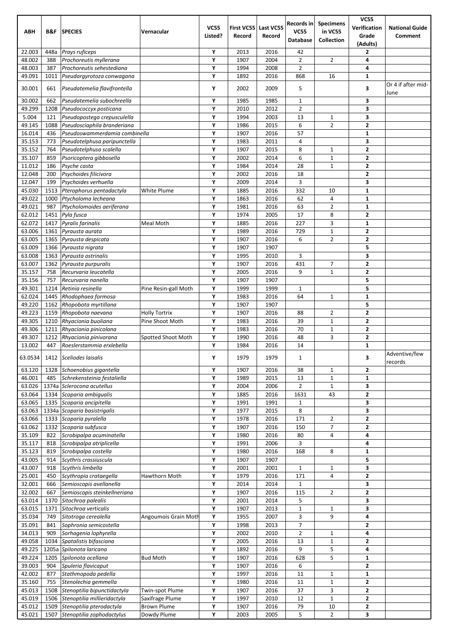| <b>ABH</b>        | B&F          | <b>SPECIES</b>                                         | Vernacular           | <b>VC55</b> | <b>First VC55</b> | Last VC55    | Records in<br><b>VC55</b>        | <b>Specimens</b><br>in VC55  | <b>VC55</b><br>Verification             | <b>National Guide</b> |
|-------------------|--------------|--------------------------------------------------------|----------------------|-------------|-------------------|--------------|----------------------------------|------------------------------|-----------------------------------------|-----------------------|
|                   |              |                                                        |                      | Listed?     | Record            | Record       | <b>Database</b>                  | <b>Collection</b>            | Grade<br>(Adults)                       | Comment               |
| 22.003            | 448a         | <b>Prays ruficeps</b>                                  |                      | Υ           | 2013              | 2016         | 42                               |                              | 2                                       |                       |
| 48.002<br>48.003  | 388          | Prochoreutis myllerana                                 |                      | Υ<br>Υ      | 1907              | 2004         | $\overline{2}$<br>$\overline{2}$ | $\overline{2}$               | 4<br>4                                  |                       |
| 49.091            | 387<br>1011  | Prochoreutis sehestediana<br>Pseudargyrotoza conwagana |                      | Υ           | 1994<br>1892      | 2008<br>2016 | 868                              | 16                           | $\mathbf{1}$                            |                       |
| 30.001            | 661          | Pseudatemelia flavifrontella                           |                      | Υ           | 2002              | 2009         | 5                                |                              | 3                                       | Or 4 if after mid-    |
| 30.002            | 662          | Pseudatemelia subochreella                             |                      | Υ           | 1985              | 1985         | $\mathbf{1}$                     |                              | 3                                       | June                  |
| 49.299            | 1208         | Pseudococcyx posticana                                 |                      | Υ           | 2010              | 2012         | $\overline{2}$                   |                              | 3                                       |                       |
| 5.004             | 121          | Pseudopostega crepusculella                            |                      | Υ           | 1994              | 2003         | 13                               | 1                            | 3                                       |                       |
| 49.145            | 1088         | Pseudosciaphila branderiana                            |                      | Υ           | 1986              | 2015         | 6                                | $\overline{2}$               | $\overline{2}$                          |                       |
| 16.014            | 436          | Pseudoswammerdamia combinella                          |                      | Υ           | 1907              | 2016         | 57                               |                              | $\mathbf{1}$                            |                       |
| 35.153            | 773          | Pseudotelphusa paripunctella                           |                      | Υ           | 1983              | 2011         | 4                                |                              | 3                                       |                       |
| 35.152<br>35.107  | 764<br>859   | Pseudotelphusa scalella<br>Psoricoptera gibbosella     |                      | Υ<br>Υ      | 1907<br>2002      | 2015<br>2014 | 8<br>6                           | $\mathbf{1}$<br>1            | $\overline{2}$<br>$\mathbf{2}$          |                       |
| 11.012            | 186          | Psyche casta                                           |                      | Υ           | 1984              | 2014         | 28                               | 1                            | $\overline{\mathbf{2}}$                 |                       |
| 12.048            | 200          | Psychoides filicivora                                  |                      | Υ           | 2002              | 2016         | 18                               |                              | $\overline{2}$                          |                       |
| 12.047            | 199          | Psychoides verhuella                                   |                      | Υ           | 2009              | 2014         | 3                                |                              | 3                                       |                       |
| 45.030            | 1513         | Pterophorus pentadactyla                               | White Plume          | Υ           | 1885              | 2016         | 332                              | 10                           | $\mathbf{1}$                            |                       |
| 49.022            | 1000         | Ptycholoma lecheana                                    |                      | Υ           | 1863              | 2016         | 62                               | 4                            | $\mathbf{1}$                            |                       |
| 49.021            | 987          | Ptycholomoides aeriferana                              |                      | Υ           | 1981              | 2016         | 63                               | 2                            | 1                                       |                       |
| 62.012            | 1451         | Pyla fusca                                             |                      | Υ           | 1974              | 2005         | 17                               | 8                            | $\overline{2}$                          |                       |
| 62.072<br>63.006  | 1417<br>1361 | Pyralis farinalis<br>Pyrausta aurata                   | Meal Moth            | Υ<br>Υ      | 1885<br>1989      | 2016<br>2016 | 227<br>729                       | 3<br>$\mathbf{1}$            | $\mathbf{1}$<br>$\overline{\mathbf{2}}$ |                       |
| 63.005            | 1365         | Pyrausta despicata                                     |                      | Υ           | 1907              | 2016         | 6                                | 2                            | $\mathbf{2}$                            |                       |
| 63.009            | 1366         | Pyrausta nigrata                                       |                      | Υ           | 1907              | 1907         |                                  |                              | 5                                       |                       |
| 63.008            | 1363         | Pyrausta ostrinalis                                    |                      | Υ           | 1995              | 2010         | 3                                |                              | 3                                       |                       |
| 63.007            | 1362         | Pyrausta purpuralis                                    |                      | Υ           | 1907              | 2016         | 431                              | 7                            | $\overline{\mathbf{2}}$                 |                       |
| 35.157            | 758          | Recurvaria leucatella                                  |                      | Υ           | 2005              | 2016         | 9                                | $\mathbf{1}$                 | $\overline{2}$                          |                       |
| 35.156            | 757          | Recurvaria nanella                                     |                      | Υ           | 1907              | 1907         |                                  |                              | 5                                       |                       |
| 49.301<br>62.024  | 1214<br>1445 | Retinia resinella<br>Rhodophaea formosa                | Pine Resin-gall Moth | Υ<br>Υ      | 1999<br>1983      | 1999<br>2016 | 1<br>64                          | $\mathbf{1}$                 | 5<br>$\mathbf{1}$                       |                       |
| 49.220            | 1162         | Rhopobota myrtillana                                   |                      | Υ           | 1907              | 1907         |                                  |                              | 5                                       |                       |
| 49.223            | 1159         | Rhopobota naevana                                      | <b>Holly Tortrix</b> | Υ           | 1907              | 2016         | 88                               | $\overline{2}$               | $\overline{2}$                          |                       |
| 49.305            | 1210         | Rhyacionia buoliana                                    | Pine Shoot Moth      | Υ           | 1983              | 2016         | 39                               | $\mathbf{1}$                 | $\mathbf{2}$                            |                       |
| 49.306            | 1211         | Rhyacionia pinicolana                                  |                      | Υ           | 1983              | 2016         | 70                               | 1                            | $\overline{2}$                          |                       |
| 49.307            | 1212         | Rhyacionia pinivorana                                  | Spotted Shoot Moth   | Υ           | 1990              | 2016         | 48                               | 3                            | $\overline{\mathbf{2}}$                 |                       |
| 13.002<br>63.0534 | 447          | Roeslerstammia erxlebella<br>1412 Sceliodes laisalis   |                      | Υ<br>Υ      | 1984<br>1979      | 2016<br>1979 | 14<br>$\mathbf{1}$               |                              | $\mathbf{1}$<br>3                       | Adventive/few         |
|                   |              |                                                        |                      |             |                   |              |                                  |                              |                                         | records               |
| 63.120<br>46.001  | 1328<br>485  | Schoenobius gigantella<br>Schrekensteinia festaliella  |                      | Υ<br>Υ      | 1907<br>1989      | 2016<br>2015 | 38<br>13                         | 1                            | $\overline{2}$<br>$\mathbf{1}$          |                       |
| 63.026            |              | 1374a Sclerocona acutellus                             |                      | Υ           | 2004              | 2006         | $\overline{2}$                   | $\mathbf{1}$<br>$\mathbf{1}$ | 3                                       |                       |
| 63.064            | 1334         | Scoparia ambigualis                                    |                      | Υ           | 1885              | 2016         | 1631                             | 43                           | $\mathbf{2}$                            |                       |
| 63.065            | 1335         | Scoparia ancipitella                                   |                      | Υ           | 1991              | 1991         | $1\,$                            |                              | 3                                       |                       |
| 63.063            |              | 1334a Scoparia basistrigalis                           |                      | Υ           | 1977              | 2015         | 8                                |                              | 3                                       |                       |
| 63.066            | 1333         | Scoparia pyralella                                     |                      | Υ           | 1978              | 2016         | 171                              | 2                            | $\overline{\mathbf{2}}$                 |                       |
| 63.062            | 1332         | Scoparia subfusca                                      |                      | Υ           | 1907              | 2016         | 150                              | $\overline{7}$               | $\overline{\mathbf{2}}$                 |                       |
| 35.109<br>35.117  | 822<br>818   | Scrobipalpa acuminatella<br>Scrobipalpa atriplicella   |                      | Υ<br>Υ      | 1980<br>1991      | 2016<br>2006 | 80<br>3                          | 4                            | 4<br>4                                  |                       |
| 35.123            | 819          | Scrobipalpa costella                                   |                      | Υ           | 1980              | 2016         | 168                              | 8                            | 1                                       |                       |
| 43.005            | 914          | Scythris crassiuscula                                  |                      | Υ           | 1907              | 1907         |                                  |                              | 5                                       |                       |
| 43.007            | 918          | Scythris limbella                                      |                      | Υ           | 2001              | 2001         | $\mathbf{1}$                     | $\mathbf{1}$                 | 3                                       |                       |
| 25.001            | 450          | Scythropia crataegella                                 | Hawthorn Moth        | Υ           | 1979              | 2016         | 171                              | 4                            | $\mathbf{2}$                            |                       |
| 32.001            | 666          | Semioscopis avellanella                                |                      | Υ           | 2014              | 2014         | $1\,$                            |                              | 3                                       |                       |
| 32.002            | 667          | Semioscopis steinkellneriana                           |                      | Υ           | 1907              | 2016         | 115                              | $\overline{2}$               | $\mathbf{2}$                            |                       |
| 63.014<br>63.015  | 1370<br>1371 | Sitochroa palealis<br>Sitochroa verticalis             |                      | Υ<br>Υ      | 2001<br>1907      | 2014<br>2013 | 5<br>$\mathbf{1}$                | $\mathbf{1}$                 | 3<br>3                                  |                       |
| 35.034            | 749          | Sitotroga cerealella                                   | Angoumois Grain Moth | Υ           | 1955              | 2007         | 3                                | 9                            | 4                                       |                       |
| 35.091            | 841          | Sophronia semicostella                                 |                      | Υ           | 1998              | 2013         | $\overline{7}$                   |                              | $\overline{\mathbf{2}}$                 |                       |
| 34.013            | 909          | Sorhagenia lophyrella                                  |                      | Υ           | 2002              | 2010         | $\overline{2}$                   | 1                            | 4                                       |                       |
| 49.058            | 1034         | Spatalistis bifasciana                                 |                      | Υ           | 2005              | 2016         | 13                               | $\mathbf{1}$                 | $\overline{\mathbf{2}}$                 |                       |
| 49.225            |              | 1205a Spilonota laricana                               |                      | Υ           | 1892              | 2016         | 9                                | 5                            | 4                                       |                       |
| 49.224            | 1205         | Spilonota ocellana                                     | <b>Bud Moth</b>      | Υ           | 1907              | 2016         | 628                              | 5                            | $\mathbf{1}$                            |                       |
| 39.003<br>42.002  | 904<br>877   | Spuleria flavicaput<br>Stathmopoda pedella             |                      | Υ<br>Υ      | 1907<br>1997      | 2016<br>2016 | 6<br>11                          | 1                            | $\overline{\mathbf{2}}$<br>$\mathbf 1$  |                       |
| 35.160            | 755          | Stenolechia gemmella                                   |                      | Υ           | 1980              | 2016         | 11                               | $\mathbf{1}$                 | $\overline{\mathbf{2}}$                 |                       |
| 45.013            | 1508         | Stenoptilia bipunctidactyla                            | Twin-spot Plume      | Υ           | 1907              | 2016         | 37                               | 3                            | $\overline{\mathbf{2}}$                 |                       |
| 45.019            | 1506         | Stenoptilia millieridactyla                            | Saxifrage Plume      | Υ           | 1997              | 2010         | 12                               | $\mathbf{1}$                 | $\mathbf{2}$                            |                       |
| 45.012            | 1509         | Stenoptilia pterodactyla                               | <b>Brown Plume</b>   | Υ           | 1907              | 2016         | 79                               | $10\,$                       | 2                                       |                       |
| 45.021            | 1507         | Stenoptilia zophodactylus                              | Dowdy Plume          | Υ           | 2003              | 2005         | 5                                | $\overline{2}$               | 3                                       |                       |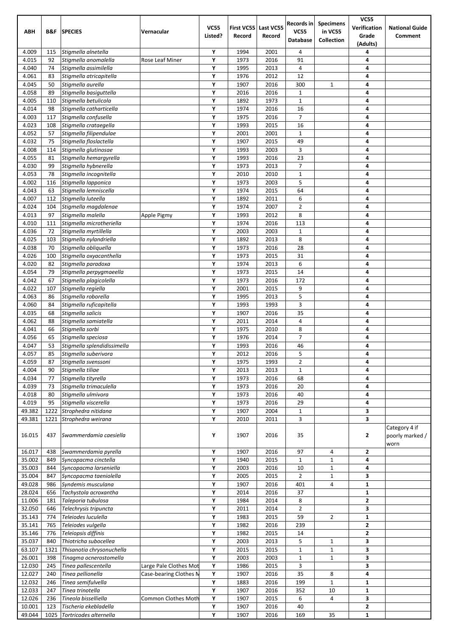|                  |            |                                                |                        | <b>VC55</b> | First VC55   | Last VC55    | Records in                     | <b>Specimens</b>      | <b>VC55</b><br>Verification | <b>National Guide</b>                    |
|------------------|------------|------------------------------------------------|------------------------|-------------|--------------|--------------|--------------------------------|-----------------------|-----------------------------|------------------------------------------|
| <b>ABH</b>       | B&F        | <b>SPECIES</b>                                 | Vernacular             | Listed?     | Record       | Record       | <b>VC55</b><br><b>Database</b> | in VC55<br>Collection | Grade<br>(Adults)           | Comment                                  |
| 4.009            | 115        | Stigmella alnetella                            |                        | Υ           | 1994         | 2001         | 4                              |                       | 4                           |                                          |
| 4.015            | 92         | Stigmella anomalella                           | Rose Leaf Miner        | Υ           | 1973         | 2016         | 91                             |                       | 4                           |                                          |
| 4.040            | 74         | Stigmella assimilella                          |                        | Υ<br>Υ      | 1995         | 2013         | 4                              |                       | 4                           |                                          |
| 4.061<br>4.045   | 83<br>50   | Stigmella atricapitella<br>Stigmella aurella   |                        | Υ           | 1976<br>1907 | 2012<br>2016 | 12<br>300                      | $\mathbf{1}$          | 4<br>4                      |                                          |
| 4.058            | 89         | Stigmella basiguttella                         |                        | Y           | 2016         | 2016         | $\mathbf{1}$                   |                       | 4                           |                                          |
| 4.005            | 110        | Stigmella betulicola                           |                        | Υ           | 1892         | 1973         | $\mathbf 1$                    |                       | 4                           |                                          |
| 4.014            | 98         | Stigmella catharticella                        |                        | Υ           | 1974         | 2016         | 16                             |                       | 4                           |                                          |
| 4.003            | 117        | Stigmella confusella                           |                        | Υ           | 1975         | 2016         | $\overline{7}$                 |                       | 4                           |                                          |
| 4.023            | 108        | Stigmella crataegella                          |                        | Υ           | 1993         | 2015         | 16                             |                       | 4                           |                                          |
| 4.052            | 57         | Stigmella filipendulae                         |                        | Υ           | 2001         | 2001         | $\mathbf{1}$                   |                       | 4                           |                                          |
| 4.032<br>4.008   | 75<br>114  | Stigmella floslactella<br>Stigmella glutinosae |                        | Υ<br>Υ      | 1907<br>1993 | 2015<br>2003 | 49<br>3                        |                       | 4<br>4                      |                                          |
| 4.055            | 81         | Stigmella hemargyrella                         |                        | Υ           | 1993         | 2016         | 23                             |                       | 4                           |                                          |
| 4.030            | 99         | Stigmella hybnerella                           |                        | Υ           | 1973         | 2013         | $\overline{7}$                 |                       | 4                           |                                          |
| 4.053            | 78         | Stigmella incognitella                         |                        | Y           | 2010         | 2010         | $\mathbf{1}$                   |                       | 4                           |                                          |
| 4.002            | 116        | Stigmella lapponica                            |                        | Υ           | 1973         | 2003         | 5                              |                       | 4                           |                                          |
| 4.043            | 63         | Stigmella lemniscella                          |                        | Υ           | 1974         | 2015         | 64                             |                       | 4                           |                                          |
| 4.007            | 112        | Stigmella luteella                             |                        | Υ           | 1892         | 2011         | 6                              |                       | 4                           |                                          |
| 4.024            | 104        | Stigmella magdalenae                           |                        | Υ           | 1974         | 2007         | $\overline{2}$                 |                       | 4                           |                                          |
| 4.013<br>4.010   | 97<br>111  | Stigmella malella<br>Stigmella microtheriella  | Apple Pigmy            | Y<br>Y      | 1993<br>1974 | 2012<br>2016 | 8<br>113                       |                       | 4<br>4                      |                                          |
| 4.036            | 72         | Stigmella myrtillella                          |                        | Υ           | 2003         | 2003         | $\mathbf{1}$                   |                       | 4                           |                                          |
| 4.025            | 103        | Stigmella nylandriella                         |                        | Υ           | 1892         | 2013         | 8                              |                       | 4                           |                                          |
| 4.038            | 70         | Stigmella obliquella                           |                        | Υ           | 1973         | 2016         | 28                             |                       | 4                           |                                          |
| 4.026            | 100        | Stigmella oxyacanthella                        |                        | Y           | 1973         | 2015         | 31                             |                       | 4                           |                                          |
| 4.020            | 82         | Stigmella paradoxa                             |                        | Υ           | 1974         | 2013         | 6                              |                       | 4                           |                                          |
| 4.054            | 79         | Stigmella perpygmaeella                        |                        | Υ           | 1973         | 2015         | 14                             |                       | 4                           |                                          |
| 4.042            | 67         | Stigmella plagicolella                         |                        | Υ           | 1973         | 2016         | 172                            |                       | 4                           |                                          |
| 4.022<br>4.063   | 107<br>86  | Stigmella regiella<br>Stigmella roborella      |                        | Υ<br>Y      | 2001<br>1995 | 2015<br>2013 | 9<br>5                         |                       | 4<br>4                      |                                          |
| 4.060            | 84         | Stigmella ruficapitella                        |                        | Y           | 1993         | 1993         | 3                              |                       | 4                           |                                          |
| 4.035            | 68         | Stigmella salicis                              |                        | Υ           | 1907         | 2016         | 35                             |                       | 4                           |                                          |
| 4.062            | 88         | Stigmella samiatella                           |                        | Υ           | 2011         | 2014         | 4                              |                       | 4                           |                                          |
| 4.041            | 66         | Stigmella sorbi                                |                        | Υ           | 1975         | 2010         | 8                              |                       | 4                           |                                          |
| 4.056            | 65         | Stigmella speciosa                             |                        | Υ           | 1976         | 2014         | $\overline{7}$                 |                       | 4                           |                                          |
| 4.047            | 53         | Stigmella splendidissimella                    |                        | Υ           | 1993         | 2016         | 46                             |                       | 4                           |                                          |
| 4.057<br>4.059   | 85<br>87   | Stigmella suberivora<br>Stigmella svenssoni    |                        | Y<br>Υ      | 2012<br>1975 | 2016<br>1993 | 5<br>$\overline{2}$            |                       | 4<br>4                      |                                          |
| 4.004            | 90         | Stigmella tiliae                               |                        | Υ           | 2013         | 2013         | $\mathbf{1}$                   |                       | 4                           |                                          |
| 4.034            | 77         | Stigmella tityrella                            |                        | Υ           | 1973         | 2016         | 68                             |                       | 4                           |                                          |
| 4.039            | 73         | Stigmella trimaculella                         |                        | Υ           | 1973         | 2016         | 20                             |                       | 4                           |                                          |
| 4.018            | 80         | Stigmella ulmivora                             |                        | Υ           | 1973         | 2016         | 40                             |                       | 4                           |                                          |
| 4.019            | 95         | Stigmella viscerella                           |                        | Υ           | 1973         | 2016         | 29                             |                       | 4                           |                                          |
| 49.382           | 1222       | Strophedra nitidana                            |                        | Υ           | 1907         | 2004         | $\mathbf{1}$                   |                       | 3                           |                                          |
| 49.381           | 1221       | Strophedra weirana                             |                        | Υ           | 2010         | 2011         | 3                              |                       | $\overline{\mathbf{3}}$     |                                          |
| 16.015           | 437        | Swammerdamia caesiella                         |                        | Υ           | 1907         | 2016         | 35                             |                       | $\mathbf{2}$                | Category 4 if<br>poorly marked /<br>worn |
| 16.017           | 438        | Swammerdamia pyrella                           |                        | Υ           | 1907         | 2016         | 97                             | 4                     | 2                           |                                          |
| 35.002           | 849        | Syncopacma cinctella                           |                        | Υ           | 1940         | 2015         | $\mathbf{1}$                   | $\mathbf{1}$          | 4                           |                                          |
| 35.003           | 844        | Syncopacma larseniella                         |                        | Υ           | 2003         | 2016         | 10                             | $\mathbf{1}$          | 4                           |                                          |
| 35.004<br>49.028 | 847<br>986 | Syncopacma taeniolella                         |                        | Υ<br>Υ      | 2005<br>1907 | 2015<br>2016 | $\overline{2}$<br>401          | $\mathbf{1}$<br>4     | 3<br>$\mathbf 1$            |                                          |
| 28.024           | 656        | Syndemis musculana<br>Tachystola acroxantha    |                        | Υ           | 2014         | 2016         | 37                             |                       | $\mathbf{1}$                |                                          |
| 11.006           | 181        | Taleporia tubulosa                             |                        | Υ           | 1984         | 2014         | 8                              |                       | $\mathbf{2}$                |                                          |
| 32.050           | 646        | Telechrysis tripuncta                          |                        | Υ           | 2011         | 2014         | $\overline{2}$                 |                       | 3                           |                                          |
| 35.143           | 774        | Teleiodes luculella                            |                        | Υ           | 1983         | 2015         | 59                             | $\overline{2}$        | $\mathbf 1$                 |                                          |
| 35.141           | 765        | Teleiodes vulgella                             |                        | Υ           | 1982         | 2016         | 239                            |                       | $\mathbf{2}$                |                                          |
| 35.146           | 776        | Teleiopsis diffinis                            |                        | Υ           | 1982         | 2015         | 14                             |                       | $\mathbf{2}$                |                                          |
| 35.037           | 840        | Thiotricha subocellea                          |                        | Υ           | 2003         | 2013         | 5                              | $\mathbf{1}$          | 3                           |                                          |
| 63.107           | 1321       | Thisanotia chrysonuchella                      |                        | Υ           | 2015         | 2015         | $\mathbf 1$                    | $\mathbf{1}$          | 3                           |                                          |
| 26.001<br>12.030 | 398<br>245 | Tinagma ocnerostomella<br>Tinea pallescentella | Large Pale Clothes Mot | Υ<br>Υ      | 2003<br>1986 | 2003<br>2015 | $\mathbf 1$<br>3               | $\mathbf{1}$          | 3<br>3                      |                                          |
| 12.027           | 240        | Tinea pellionella                              | Case-bearing Clothes N | Υ           | 1907         | 2016         | 35                             | 8                     | 4                           |                                          |
| 12.032           | 246        | Tinea semifulvella                             |                        | Υ           | 1883         | 2016         | 199                            | $\mathbf{1}$          | $\mathbf{1}$                |                                          |
| 12.033           | 247        | Tinea trinotella                               |                        | Υ           | 1907         | 2016         | 352                            | 10                    | $\mathbf 1$                 |                                          |
| 12.026           | 236        | Tineola bisselliella                           | Common Clothes Moth    | Υ           | 1907         | 2015         | 6                              | 4                     | 3                           |                                          |
| 10.001           | 123        | Tischeria ekebladella                          |                        | Υ           | 1907         | 2016         | 40                             |                       | $\mathbf{2}$                |                                          |
| 49.044           | 1025       | Tortricodes alternella                         |                        | Υ           | 1907         | 2016         | 169                            | 35                    | $\mathbf 1$                 |                                          |